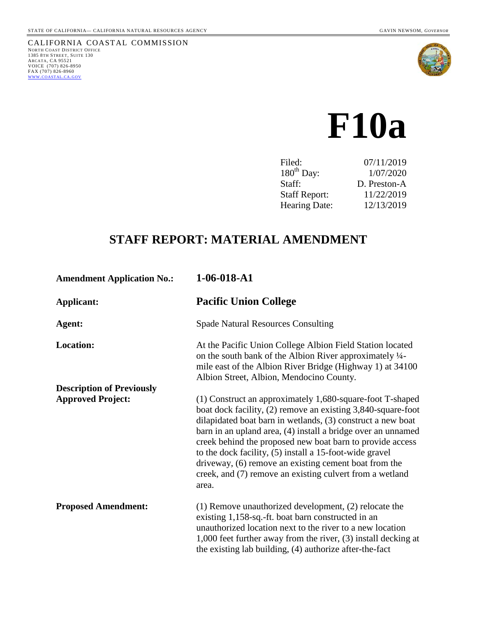

# **F10a**

| Filed:               | 07/11/2019   |
|----------------------|--------------|
| $180^{th}$ Day:      | 1/07/2020    |
| Staff:               | D. Preston-A |
| <b>Staff Report:</b> | 11/22/2019   |
| <b>Hearing Date:</b> | 12/13/2019   |
|                      |              |

## **STAFF REPORT: MATERIAL AMENDMENT**

| <b>Amendment Application No.:</b> | $1-06-018- A1$                                                                                                                                                                                                                                                                                                                                                                                                                                                                                                 |
|-----------------------------------|----------------------------------------------------------------------------------------------------------------------------------------------------------------------------------------------------------------------------------------------------------------------------------------------------------------------------------------------------------------------------------------------------------------------------------------------------------------------------------------------------------------|
| Applicant:                        | <b>Pacific Union College</b>                                                                                                                                                                                                                                                                                                                                                                                                                                                                                   |
| Agent:                            | <b>Spade Natural Resources Consulting</b>                                                                                                                                                                                                                                                                                                                                                                                                                                                                      |
| <b>Location:</b>                  | At the Pacific Union College Albion Field Station located<br>on the south bank of the Albion River approximately 1/4-<br>mile east of the Albion River Bridge (Highway 1) at 34100<br>Albion Street, Albion, Mendocino County.                                                                                                                                                                                                                                                                                 |
| <b>Description of Previously</b>  |                                                                                                                                                                                                                                                                                                                                                                                                                                                                                                                |
| <b>Approved Project:</b>          | (1) Construct an approximately 1,680-square-foot T-shaped<br>boat dock facility, (2) remove an existing 3,840-square-foot<br>dilapidated boat barn in wetlands, (3) construct a new boat<br>barn in an upland area, (4) install a bridge over an unnamed<br>creek behind the proposed new boat barn to provide access<br>to the dock facility, (5) install a 15-foot-wide gravel<br>driveway, (6) remove an existing cement boat from the<br>creek, and (7) remove an existing culvert from a wetland<br>area. |
| <b>Proposed Amendment:</b>        | $(1)$ Remove unauthorized development, $(2)$ relocate the<br>existing 1,158-sq.-ft. boat barn constructed in an<br>unauthorized location next to the river to a new location<br>1,000 feet further away from the river, (3) install decking at<br>the existing lab building, (4) authorize after-the-fact                                                                                                                                                                                                      |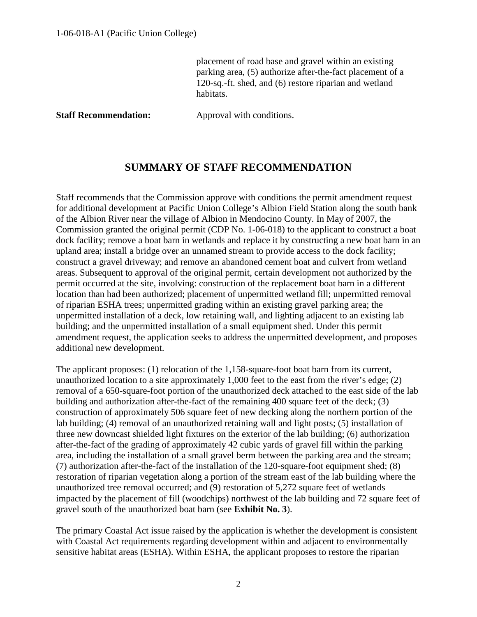placement of road base and gravel within an existing parking area, (5) authorize after-the-fact placement of a 120-sq.-ft. shed, and (6) restore riparian and wetland habitats.

**Staff Recommendation:** Approval with conditions.

## **SUMMARY OF STAFF RECOMMENDATION**

Staff recommends that the Commission approve with conditions the permit amendment request for additional development at Pacific Union College's Albion Field Station along the south bank of the Albion River near the village of Albion in Mendocino County. In May of 2007, the Commission granted the original permit (CDP No. 1-06-018) to the applicant to construct a boat dock facility; remove a boat barn in wetlands and replace it by constructing a new boat barn in an upland area; install a bridge over an unnamed stream to provide access to the dock facility; construct a gravel driveway; and remove an abandoned cement boat and culvert from wetland areas. Subsequent to approval of the original permit, certain development not authorized by the permit occurred at the site, involving: construction of the replacement boat barn in a different location than had been authorized; placement of unpermitted wetland fill; unpermitted removal of riparian ESHA trees; unpermitted grading within an existing gravel parking area; the unpermitted installation of a deck, low retaining wall, and lighting adjacent to an existing lab building; and the unpermitted installation of a small equipment shed. Under this permit amendment request, the application seeks to address the unpermitted development, and proposes additional new development.

The applicant proposes: (1) relocation of the 1,158-square-foot boat barn from its current, unauthorized location to a site approximately 1,000 feet to the east from the river's edge; (2) removal of a 650-square-foot portion of the unauthorized deck attached to the east side of the lab building and authorization after-the-fact of the remaining 400 square feet of the deck; (3) construction of approximately 506 square feet of new decking along the northern portion of the lab building; (4) removal of an unauthorized retaining wall and light posts; (5) installation of three new downcast shielded light fixtures on the exterior of the lab building; (6) authorization after-the-fact of the grading of approximately 42 cubic yards of gravel fill within the parking area, including the installation of a small gravel berm between the parking area and the stream; (7) authorization after-the-fact of the installation of the 120-square-foot equipment shed; (8) restoration of riparian vegetation along a portion of the stream east of the lab building where the unauthorized tree removal occurred; and (9) restoration of 5,272 square feet of wetlands impacted by the placement of fill (woodchips) northwest of the lab building and 72 square feet of gravel south of the unauthorized boat barn (see **Exhibit No. 3**).

The primary Coastal Act issue raised by the application is whether the development is consistent with Coastal Act requirements regarding development within and adjacent to environmentally sensitive habitat areas (ESHA). Within ESHA, the applicant proposes to restore the riparian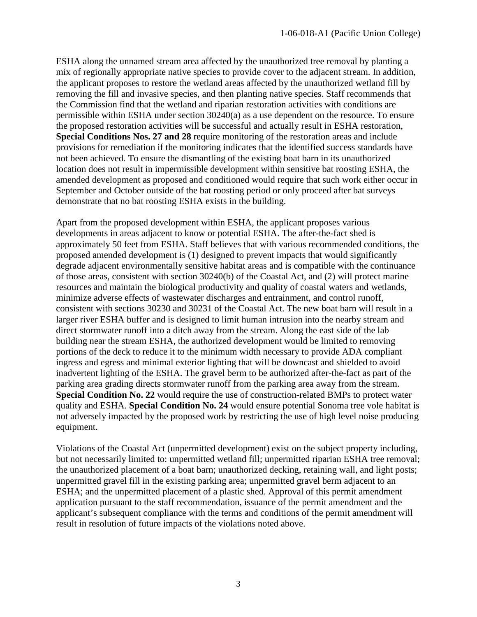ESHA along the unnamed stream area affected by the unauthorized tree removal by planting a mix of regionally appropriate native species to provide cover to the adjacent stream. In addition, the applicant proposes to restore the wetland areas affected by the unauthorized wetland fill by removing the fill and invasive species, and then planting native species. Staff recommends that the Commission find that the wetland and riparian restoration activities with conditions are permissible within ESHA under section 30240(a) as a use dependent on the resource. To ensure the proposed restoration activities will be successful and actually result in ESHA restoration, **Special Conditions Nos. 27 and 28** require monitoring of the restoration areas and include provisions for remediation if the monitoring indicates that the identified success standards have not been achieved. To ensure the dismantling of the existing boat barn in its unauthorized location does not result in impermissible development within sensitive bat roosting ESHA, the amended development as proposed and conditioned would require that such work either occur in September and October outside of the bat roosting period or only proceed after bat surveys demonstrate that no bat roosting ESHA exists in the building.

Apart from the proposed development within ESHA, the applicant proposes various developments in areas adjacent to know or potential ESHA. The after-the-fact shed is approximately 50 feet from ESHA. Staff believes that with various recommended conditions, the proposed amended development is (1) designed to prevent impacts that would significantly degrade adjacent environmentally sensitive habitat areas and is compatible with the continuance of those areas, consistent with section 30240(b) of the Coastal Act, and (2) will protect marine resources and maintain the biological productivity and quality of coastal waters and wetlands, minimize adverse effects of wastewater discharges and entrainment, and control runoff, consistent with sections 30230 and 30231 of the Coastal Act. The new boat barn will result in a larger river ESHA buffer and is designed to limit human intrusion into the nearby stream and direct stormwater runoff into a ditch away from the stream. Along the east side of the lab building near the stream ESHA, the authorized development would be limited to removing portions of the deck to reduce it to the minimum width necessary to provide ADA compliant ingress and egress and minimal exterior lighting that will be downcast and shielded to avoid inadvertent lighting of the ESHA. The gravel berm to be authorized after-the-fact as part of the parking area grading directs stormwater runoff from the parking area away from the stream. **Special Condition No. 22** would require the use of construction-related BMPs to protect water quality and ESHA. **Special Condition No. 24** would ensure potential Sonoma tree vole habitat is not adversely impacted by the proposed work by restricting the use of high level noise producing equipment.

Violations of the Coastal Act (unpermitted development) exist on the subject property including, but not necessarily limited to: unpermitted wetland fill; unpermitted riparian ESHA tree removal; the unauthorized placement of a boat barn; unauthorized decking, retaining wall, and light posts; unpermitted gravel fill in the existing parking area; unpermitted gravel berm adjacent to an ESHA; and the unpermitted placement of a plastic shed. Approval of this permit amendment application pursuant to the staff recommendation, issuance of the permit amendment and the applicant's subsequent compliance with the terms and conditions of the permit amendment will result in resolution of future impacts of the violations noted above.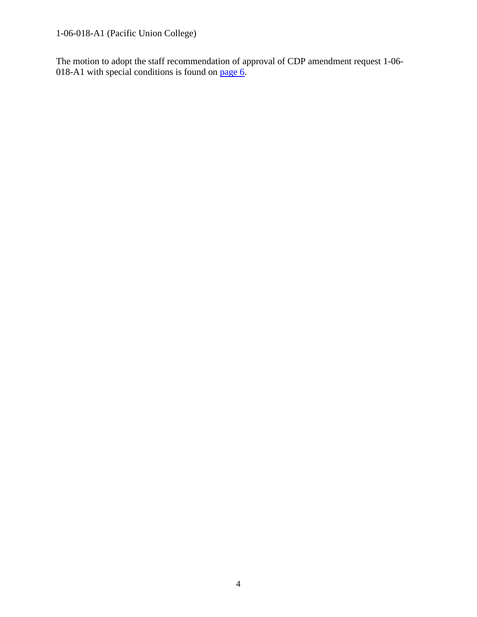1-06-018-A1 (Pacific Union College)

The motion to adopt the staff recommendation of approval of CDP amendment request 1-06 018-A1 with special conditions is found on [page 6.](#page-5-0)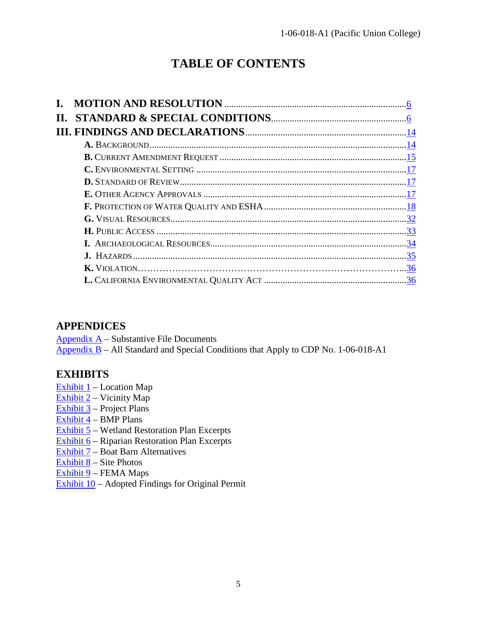## **TABLE OF CONTENTS**

## **APPENDICES**

[Appendix A](https://documents.coastal.ca.gov/reports/2019/12/F10a/F10a-12-2019-appendix.pdf) – Substantive File Documents Appendix  $B$  – All Standard and Special Conditions that Apply to CDP No. 1-06-018-A1

## **EXHIBITS**

- Exhibit  $1$  Location Map
- Exhibit  $2$  Vicinity Map
- [Exhibit 3](https://documents.coastal.ca.gov/reports/2019/12/F10a/F10a-12-2019-exhibits.pdf) Project Plans
- [Exhibit 4](https://documents.coastal.ca.gov/reports/2019/12/F10a/F10a-12-2019-exhibits.pdf) BMP Plans
- $\sqrt{\frac{Exhibit 5}}$  $\sqrt{\frac{Exhibit 5}}$  $\sqrt{\frac{Exhibit 5}}$  Wetland Restoration Plan Excerpts
- [Exhibit 6](https://documents.coastal.ca.gov/reports/2019/12/F10a/F10a-12-2019-exhibits.pdf) Riparian Restoration Plan Excerpts
- [Exhibit 7](https://documents.coastal.ca.gov/reports/2019/12/F10a/F10a-12-2019-exhibits.pdf) Boat Barn Alternatives
- Exhibit  $8 -$  Site Photos
- [Exhibit 9](https://documents.coastal.ca.gov/reports/2019/12/F10a/F10a-12-2019-exhibits.pdf) FEMA Maps
- Exhibit  $10 -$  Adopted Findings for Original Permit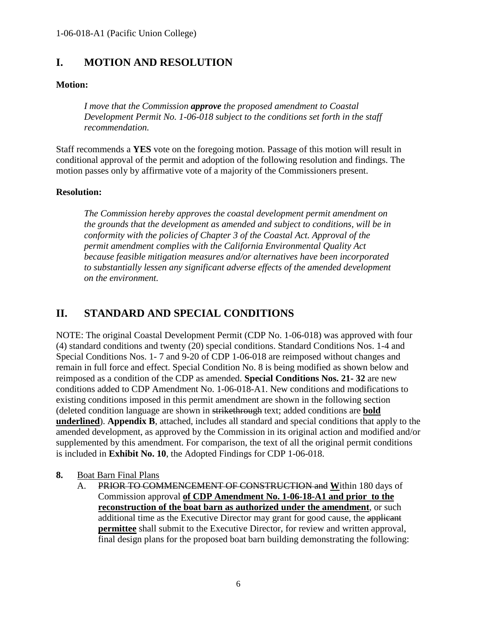## <span id="page-5-0"></span>**I. MOTION AND RESOLUTION**

### **Motion:**

*I move that the Commission approve the proposed amendment to Coastal Development Permit No. 1-06-018 subject to the conditions set forth in the staff recommendation.*

Staff recommends a **YES** vote on the foregoing motion. Passage of this motion will result in conditional approval of the permit and adoption of the following resolution and findings. The motion passes only by affirmative vote of a majority of the Commissioners present.

#### **Resolution:**

*The Commission hereby approves the coastal development permit amendment on the grounds that the development as amended and subject to conditions, will be in conformity with the policies of Chapter 3 of the Coastal Act. Approval of the permit amendment complies with the California Environmental Quality Act because feasible mitigation measures and/or alternatives have been incorporated to substantially lessen any significant adverse effects of the amended development on the environment.*

## <span id="page-5-1"></span>**II. STANDARD AND SPECIAL CONDITIONS**

NOTE: The original Coastal Development Permit (CDP No. 1-06-018) was approved with four (4) standard conditions and twenty (20) special conditions. Standard Conditions Nos. 1-4 and Special Conditions Nos. 1- 7 and 9-20 of CDP 1-06-018 are reimposed without changes and remain in full force and effect. Special Condition No. 8 is being modified as shown below and reimposed as a condition of the CDP as amended. **Special Conditions Nos. 21- 32** are new conditions added to CDP Amendment No. 1-06-018-A1. New conditions and modifications to existing conditions imposed in this permit amendment are shown in the following section (deleted condition language are shown in strikethrough text; added conditions are **bold underlined**). **Appendix B**, attached, includes all standard and special conditions that apply to the amended development, as approved by the Commission in its original action and modified and/or supplemented by this amendment. For comparison, the text of all the original permit conditions is included in **Exhibit No. 10**, the Adopted Findings for CDP 1-06-018.

#### **8.** Boat Barn Final Plans

A. PRIOR TO COMMENCEMENT OF CONSTRUCTION and **W**ithin 180 days of Commission approval **of CDP Amendment No. 1-06-18-A1 and prior to the reconstruction of the boat barn as authorized under the amendment**, or such additional time as the Executive Director may grant for good cause, the applicant **permittee** shall submit to the Executive Director, for review and written approval, final design plans for the proposed boat barn building demonstrating the following: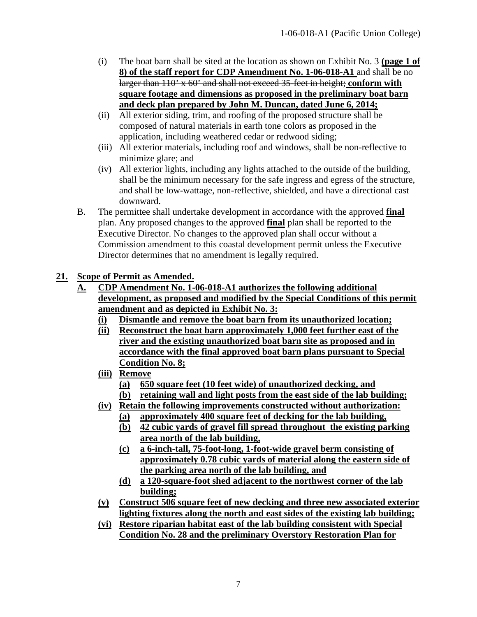- (i) The boat barn shall be sited at the location as shown on Exhibit No. 3 **(page 1 of 8) of the staff report for CDP Amendment No. 1-06-018-A1** and shall be no larger than 110' x 60' and shall not exceed 35-feet in height; **conform with square footage and dimensions as proposed in the preliminary boat barn and deck plan prepared by John M. Duncan, dated June 6, 2014;**
- (ii) All exterior siding, trim, and roofing of the proposed structure shall be composed of natural materials in earth tone colors as proposed in the application, including weathered cedar or redwood siding;
- (iii) All exterior materials, including roof and windows, shall be non-reflective to minimize glare; and
- (iv) All exterior lights, including any lights attached to the outside of the building, shall be the minimum necessary for the safe ingress and egress of the structure, and shall be low-wattage, non-reflective, shielded, and have a directional cast downward.
- B. The permittee shall undertake development in accordance with the approved **final** plan. Any proposed changes to the approved **final** plan shall be reported to the Executive Director. No changes to the approved plan shall occur without a Commission amendment to this coastal development permit unless the Executive Director determines that no amendment is legally required.

### **21. Scope of Permit as Amended.**

- **A. CDP Amendment No. 1-06-018-A1 authorizes the following additional development, as proposed and modified by the Special Conditions of this permit amendment and as depicted in Exhibit No. 3:**
	- **(i) Dismantle and remove the boat barn from its unauthorized location;**
	- **(ii) Reconstruct the boat barn approximately 1,000 feet further east of the river and the existing unauthorized boat barn site as proposed and in accordance with the final approved boat barn plans pursuant to Special Condition No. 8;**
	- **(iii) Remove**
		- **(a) 650 square feet (10 feet wide) of unauthorized decking, and**
		- **(b) retaining wall and light posts from the east side of the lab building;**
	- **(iv) Retain the following improvements constructed without authorization:**
		- **(a) approximately 400 square feet of decking for the lab building,**
		- **(b) 42 cubic yards of gravel fill spread throughout the existing parking area north of the lab building,**
		- **(c) a 6-inch-tall, 75-foot-long, 1-foot-wide gravel berm consisting of approximately 0.78 cubic yards of material along the eastern side of the parking area north of the lab building, and**
		- **(d) a 120-square-foot shed adjacent to the northwest corner of the lab building;**
	- **(v) Construct 506 square feet of new decking and three new associated exterior lighting fixtures along the north and east sides of the existing lab building;**
	- **(vi) Restore riparian habitat east of the lab building consistent with Special Condition No. 28 and the preliminary Overstory Restoration Plan for**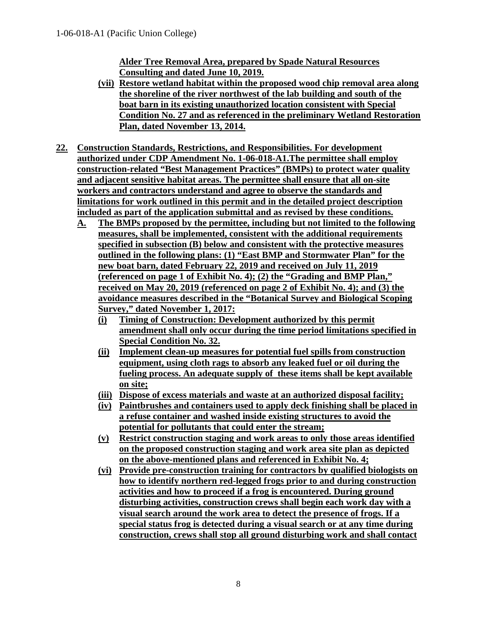**Alder Tree Removal Area, prepared by Spade Natural Resources Consulting and dated June 10, 2019.**

- **(vii) Restore wetland habitat within the proposed wood chip removal area along the shoreline of the river northwest of the lab building and south of the boat barn in its existing unauthorized location consistent with Special Condition No. 27 and as referenced in the preliminary Wetland Restoration Plan, dated November 13, 2014.**
- **22. Construction Standards, Restrictions, and Responsibilities. For development authorized under CDP Amendment No. 1-06-018-A1.The permittee shall employ construction-related "Best Management Practices" (BMPs) to protect water quality and adjacent sensitive habitat areas. The permittee shall ensure that all on-site workers and contractors understand and agree to observe the standards and limitations for work outlined in this permit and in the detailed project description included as part of the application submittal and as revised by these conditions.**
	- **A. The BMPs proposed by the permittee, including but not limited to the following measures, shall be implemented, consistent with the additional requirements specified in subsection (B) below and consistent with the protective measures outlined in the following plans: (1) "East BMP and Stormwater Plan" for the new boat barn, dated February 22, 2019 and received on July 11, 2019 (referenced on page 1 of Exhibit No. 4); (2) the "Grading and BMP Plan," received on May 20, 2019 (referenced on page 2 of Exhibit No. 4); and (3) the avoidance measures described in the "Botanical Survey and Biological Scoping Survey," dated November 1, 2017:**
		- **(i) Timing of Construction: Development authorized by this permit amendment shall only occur during the time period limitations specified in Special Condition No. 32.**
		- **(ii) Implement clean-up measures for potential fuel spills from construction equipment, using cloth rags to absorb any leaked fuel or oil during the fueling process. An adequate supply of these items shall be kept available on site;**
		- **(iii) Dispose of excess materials and waste at an authorized disposal facility;**
		- **(iv) Paintbrushes and containers used to apply deck finishing shall be placed in a refuse container and washed inside existing structures to avoid the potential for pollutants that could enter the stream;**
		- **(v) Restrict construction staging and work areas to only those areas identified on the proposed construction staging and work area site plan as depicted on the above-mentioned plans and referenced in Exhibit No. 4;**
		- **(vi) Provide pre-construction training for contractors by qualified biologists on how to identify northern red-legged frogs prior to and during construction activities and how to proceed if a frog is encountered. During ground disturbing activities, construction crews shall begin each work day with a visual search around the work area to detect the presence of frogs. If a special status frog is detected during a visual search or at any time during construction, crews shall stop all ground disturbing work and shall contact**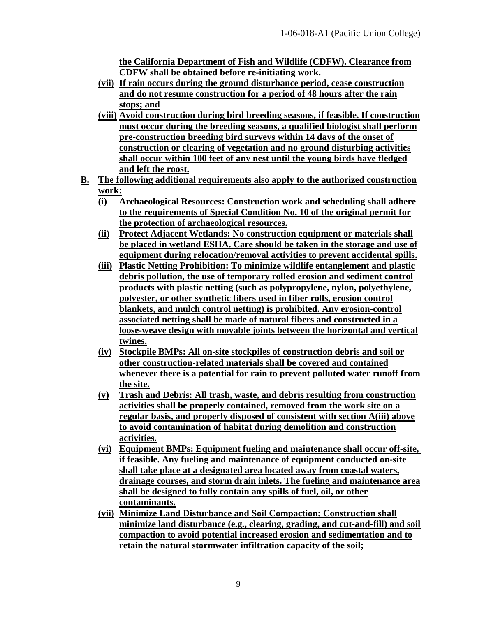**the California Department of Fish and Wildlife (CDFW). Clearance from CDFW shall be obtained before re-initiating work.**

- **(vii) If rain occurs during the ground disturbance period, cease construction and do not resume construction for a period of 48 hours after the rain stops; and**
- **(viii) Avoid construction during bird breeding seasons, if feasible. If construction must occur during the breeding seasons, a qualified biologist shall perform pre-construction breeding bird surveys within 14 days of the onset of construction or clearing of vegetation and no ground disturbing activities shall occur within 100 feet of any nest until the young birds have fledged and left the roost.**
- **B. The following additional requirements also apply to the authorized construction work:**
	- **(i) Archaeological Resources: Construction work and scheduling shall adhere to the requirements of Special Condition No. 10 of the original permit for the protection of archaeological resources.**
	- **(ii) Protect Adjacent Wetlands: No construction equipment or materials shall be placed in wetland ESHA. Care should be taken in the storage and use of equipment during relocation/removal activities to prevent accidental spills.**
	- **(iii) Plastic Netting Prohibition: To minimize wildlife entanglement and plastic debris pollution, the use of temporary rolled erosion and sediment control products with plastic netting (such as polypropylene, nylon, polyethylene, polyester, or other synthetic fibers used in fiber rolls, erosion control blankets, and mulch control netting) is prohibited. Any erosion-control associated netting shall be made of natural fibers and constructed in a loose-weave design with movable joints between the horizontal and vertical twines.**
	- **(iv) Stockpile BMPs: All on-site stockpiles of construction debris and soil or other construction-related materials shall be covered and contained whenever there is a potential for rain to prevent polluted water runoff from the site.**
	- **(v) Trash and Debris: All trash, waste, and debris resulting from construction activities shall be properly contained, removed from the work site on a regular basis, and properly disposed of consistent with section A(iii) above to avoid contamination of habitat during demolition and construction activities.**
	- **(vi) Equipment BMPs: Equipment fueling and maintenance shall occur off-site, if feasible. Any fueling and maintenance of equipment conducted on-site shall take place at a designated area located away from coastal waters, drainage courses, and storm drain inlets. The fueling and maintenance area shall be designed to fully contain any spills of fuel, oil, or other contaminants.**
	- **(vii) Minimize Land Disturbance and Soil Compaction: Construction shall minimize land disturbance (e.g., clearing, grading, and cut-and-fill) and soil compaction to avoid potential increased erosion and sedimentation and to retain the natural stormwater infiltration capacity of the soil;**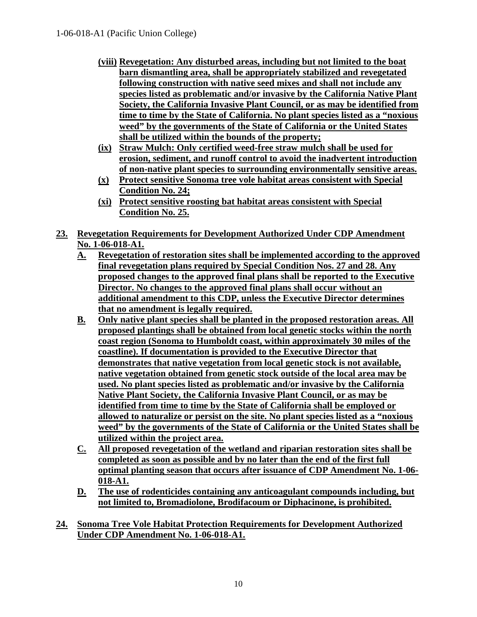- **(viii) Revegetation: Any disturbed areas, including but not limited to the boat barn dismantling area, shall be appropriately stabilized and revegetated following construction with native seed mixes and shall not include any species listed as problematic and/or invasive by the California Native Plant Society, the California Invasive Plant Council, or as may be identified from time to time by the State of California. No plant species listed as a "noxious weed" by the governments of the State of California or the United States shall be utilized within the bounds of the property;**
- **(ix) Straw Mulch: Only certified weed-free straw mulch shall be used for erosion, sediment, and runoff control to avoid the inadvertent introduction of non-native plant species to surrounding environmentally sensitive areas.**
- **(x) Protect sensitive Sonoma tree vole habitat areas consistent with Special Condition No. 24;**
- **(xi) Protect sensitive roosting bat habitat areas consistent with Special Condition No. 25.**
- **23. Revegetation Requirements for Development Authorized Under CDP Amendment No. 1-06-018-A1.**
	- **A. Revegetation of restoration sites shall be implemented according to the approved final revegetation plans required by Special Condition Nos. 27 and 28. Any proposed changes to the approved final plans shall be reported to the Executive Director. No changes to the approved final plans shall occur without an additional amendment to this CDP, unless the Executive Director determines that no amendment is legally required.**
	- **B. Only native plant species shall be planted in the proposed restoration areas. All proposed plantings shall be obtained from local genetic stocks within the north coast region (Sonoma to Humboldt coast, within approximately 30 miles of the coastline). If documentation is provided to the Executive Director that demonstrates that native vegetation from local genetic stock is not available, native vegetation obtained from genetic stock outside of the local area may be used. No plant species listed as problematic and/or invasive by the California Native Plant Society, the California Invasive Plant Council, or as may be identified from time to time by the State of California shall be employed or allowed to naturalize or persist on the site. No plant species listed as a "noxious weed" by the governments of the State of California or the United States shall be utilized within the project area.**
	- **C. All proposed revegetation of the wetland and riparian restoration sites shall be completed as soon as possible and by no later than the end of the first full optimal planting season that occurs after issuance of CDP Amendment No. 1-06- 018-A1.**
	- **D. The use of rodenticides containing any anticoagulant compounds including, but not limited to, Bromadiolone, Brodifacoum or Diphacinone, is prohibited.**
- **24. Sonoma Tree Vole Habitat Protection Requirements for Development Authorized Under CDP Amendment No. 1-06-018-A1.**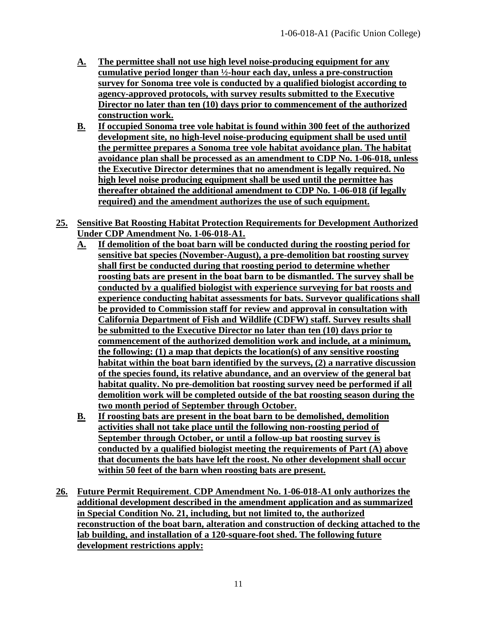- **A. The permittee shall not use high level noise-producing equipment for any cumulative period longer than ½-hour each day, unless a pre-construction survey for Sonoma tree vole is conducted by a qualified biologist according to agency-approved protocols, with survey results submitted to the Executive Director no later than ten (10) days prior to commencement of the authorized construction work.**
- **B. If occupied Sonoma tree vole habitat is found within 300 feet of the authorized development site, no high-level noise-producing equipment shall be used until the permittee prepares a Sonoma tree vole habitat avoidance plan. The habitat avoidance plan shall be processed as an amendment to CDP No. 1-06-018, unless the Executive Director determines that no amendment is legally required. No high level noise producing equipment shall be used until the permittee has thereafter obtained the additional amendment to CDP No. 1-06-018 (if legally required) and the amendment authorizes the use of such equipment.**
- **25. Sensitive Bat Roosting Habitat Protection Requirements for Development Authorized Under CDP Amendment No. 1-06-018-A1.**
	- **A. If demolition of the boat barn will be conducted during the roosting period for sensitive bat species (November-August), a pre-demolition bat roosting survey shall first be conducted during that roosting period to determine whether roosting bats are present in the boat barn to be dismantled. The survey shall be conducted by a qualified biologist with experience surveying for bat roosts and experience conducting habitat assessments for bats. Surveyor qualifications shall be provided to Commission staff for review and approval in consultation with California Department of Fish and Wildlife (CDFW) staff. Survey results shall be submitted to the Executive Director no later than ten (10) days prior to commencement of the authorized demolition work and include, at a minimum, the following: (1) a map that depicts the location(s) of any sensitive roosting habitat within the boat barn identified by the surveys, (2) a narrative discussion of the species found, its relative abundance, and an overview of the general bat habitat quality. No pre-demolition bat roosting survey need be performed if all demolition work will be completed outside of the bat roosting season during the two month period of September through October.**
	- **B. If roosting bats are present in the boat barn to be demolished, demolition activities shall not take place until the following non-roosting period of September through October, or until a follow-up bat roosting survey is conducted by a qualified biologist meeting the requirements of Part (A) above that documents the bats have left the roost. No other development shall occur within 50 feet of the barn when roosting bats are present.**
- **26. Future Permit Requirement**. **CDP Amendment No. 1-06-018-A1 only authorizes the additional development described in the amendment application and as summarized in Special Condition No. 21, including, but not limited to, the authorized reconstruction of the boat barn, alteration and construction of decking attached to the lab building, and installation of a 120-square-foot shed. The following future development restrictions apply:**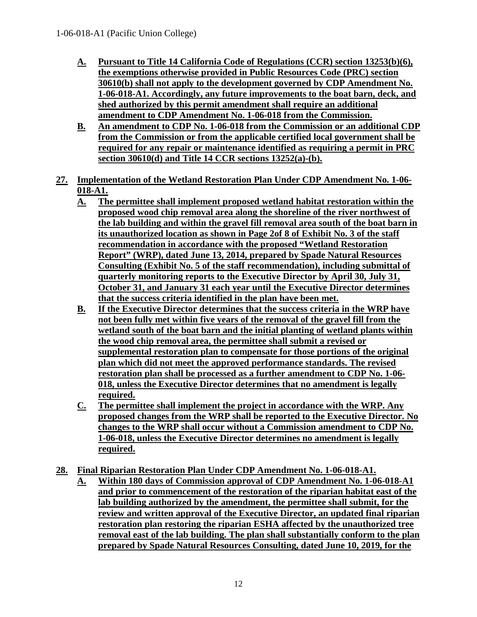- **A. Pursuant to Title 14 California Code of Regulations (CCR) section 13253(b)(6), the exemptions otherwise provided in Public Resources Code (PRC) section 30610(b) shall not apply to the development governed by CDP Amendment No. 1-06-018-A1. Accordingly, any future improvements to the boat barn, deck, and shed authorized by this permit amendment shall require an additional amendment to CDP Amendment No. 1-06-018 from the Commission.**
- **B. An amendment to CDP No. 1-06-018 from the Commission or an additional CDP from the Commission or from the applicable certified local government shall be required for any repair or maintenance identified as requiring a permit in PRC section 30610(d) and Title 14 CCR sections 13252(a)-(b).**
- **27. Implementation of the Wetland Restoration Plan Under CDP Amendment No. 1-06- 018-A1.**
	- **A. The permittee shall implement proposed wetland habitat restoration within the proposed wood chip removal area along the shoreline of the river northwest of the lab building and within the gravel fill removal area south of the boat barn in its unauthorized location as shown in Page 2of 8 of Exhibit No. 3 of the staff recommendation in accordance with the proposed "Wetland Restoration Report" (WRP), dated June 13, 2014, prepared by Spade Natural Resources Consulting (Exhibit No. 5 of the staff recommendation), including submittal of quarterly monitoring reports to the Executive Director by April 30, July 31, October 31, and January 31 each year until the Executive Director determines that the success criteria identified in the plan have been met.**
	- **B. If the Executive Director determines that the success criteria in the WRP have not been fully met within five years of the removal of the gravel fill from the wetland south of the boat barn and the initial planting of wetland plants within the wood chip removal area, the permittee shall submit a revised or supplemental restoration plan to compensate for those portions of the original plan which did not meet the approved performance standards. The revised restoration plan shall be processed as a further amendment to CDP No. 1-06- 018, unless the Executive Director determines that no amendment is legally required.**
	- **C. The permittee shall implement the project in accordance with the WRP. Any proposed changes from the WRP shall be reported to the Executive Director. No changes to the WRP shall occur without a Commission amendment to CDP No. 1-06-018, unless the Executive Director determines no amendment is legally required.**
- **28. Final Riparian Restoration Plan Under CDP Amendment No. 1-06-018-A1.**
	- **A. Within 180 days of Commission approval of CDP Amendment No. 1-06-018-A1 and prior to commencement of the restoration of the riparian habitat east of the lab building authorized by the amendment, the permittee shall submit, for the review and written approval of the Executive Director, an updated final riparian restoration plan restoring the riparian ESHA affected by the unauthorized tree removal east of the lab building. The plan shall substantially conform to the plan prepared by Spade Natural Resources Consulting, dated June 10, 2019, for the**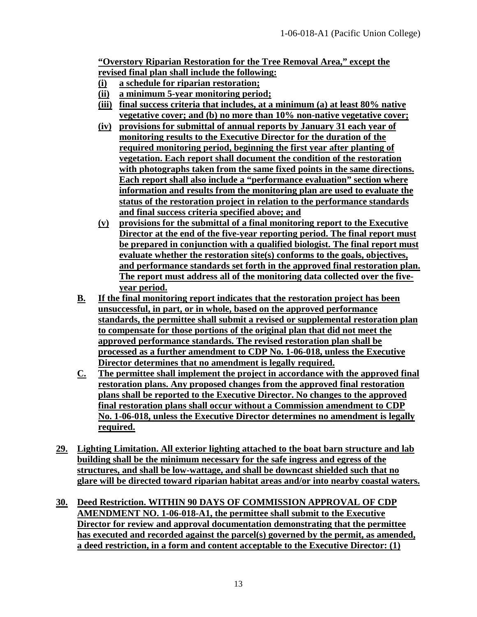**"Overstory Riparian Restoration for the Tree Removal Area," except the revised final plan shall include the following:**

- **(i) a schedule for riparian restoration;**
- **(ii) a minimum 5-year monitoring period;**
- **(iii) final success criteria that includes, at a minimum (a) at least 80% native vegetative cover; and (b) no more than 10% non-native vegetative cover;**
- **(iv) provisions for submittal of annual reports by January 31 each year of monitoring results to the Executive Director for the duration of the required monitoring period, beginning the first year after planting of vegetation. Each report shall document the condition of the restoration with photographs taken from the same fixed points in the same directions. Each report shall also include a "performance evaluation" section where information and results from the monitoring plan are used to evaluate the status of the restoration project in relation to the performance standards and final success criteria specified above; and**
- **(v) provisions for the submittal of a final monitoring report to the Executive Director at the end of the five-year reporting period. The final report must be prepared in conjunction with a qualified biologist. The final report must evaluate whether the restoration site(s) conforms to the goals, objectives, and performance standards set forth in the approved final restoration plan. The report must address all of the monitoring data collected over the fiveyear period.**
- **B. If the final monitoring report indicates that the restoration project has been unsuccessful, in part, or in whole, based on the approved performance standards, the permittee shall submit a revised or supplemental restoration plan to compensate for those portions of the original plan that did not meet the approved performance standards. The revised restoration plan shall be processed as a further amendment to CDP No. 1-06-018, unless the Executive Director determines that no amendment is legally required.**
- **C. The permittee shall implement the project in accordance with the approved final restoration plans. Any proposed changes from the approved final restoration plans shall be reported to the Executive Director. No changes to the approved final restoration plans shall occur without a Commission amendment to CDP No. 1-06-018, unless the Executive Director determines no amendment is legally required.**
- **29. Lighting Limitation. All exterior lighting attached to the boat barn structure and lab building shall be the minimum necessary for the safe ingress and egress of the structures, and shall be low-wattage, and shall be downcast shielded such that no glare will be directed toward riparian habitat areas and/or into nearby coastal waters.**
- **30. Deed Restriction. WITHIN 90 DAYS OF COMMISSION APPROVAL OF CDP AMENDMENT NO. 1-06-018-A1, the permittee shall submit to the Executive Director for review and approval documentation demonstrating that the permittee has executed and recorded against the parcel(s) governed by the permit, as amended, a deed restriction, in a form and content acceptable to the Executive Director: (1)**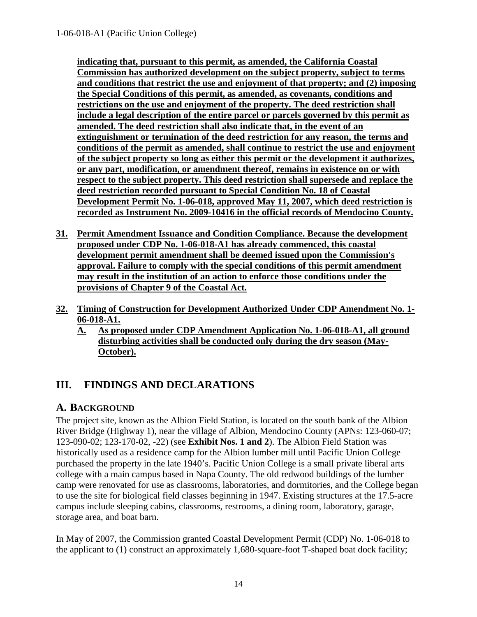**indicating that, pursuant to this permit, as amended, the California Coastal Commission has authorized development on the subject property, subject to terms and conditions that restrict the use and enjoyment of that property; and (2) imposing the Special Conditions of this permit, as amended, as covenants, conditions and restrictions on the use and enjoyment of the property. The deed restriction shall include a legal description of the entire parcel or parcels governed by this permit as amended. The deed restriction shall also indicate that, in the event of an extinguishment or termination of the deed restriction for any reason, the terms and conditions of the permit as amended, shall continue to restrict the use and enjoyment of the subject property so long as either this permit or the development it authorizes, or any part, modification, or amendment thereof, remains in existence on or with respect to the subject property. This deed restriction shall supersede and replace the deed restriction recorded pursuant to Special Condition No. 18 of Coastal Development Permit No. 1-06-018, approved May 11, 2007, which deed restriction is recorded as Instrument No. 2009-10416 in the official records of Mendocino County.**

- **31. Permit Amendment Issuance and Condition Compliance. Because the development proposed under CDP No. 1-06-018-A1 has already commenced, this coastal development permit amendment shall be deemed issued upon the Commission's approval. Failure to comply with the special conditions of this permit amendment may result in the institution of an action to enforce those conditions under the provisions of Chapter 9 of the Coastal Act.**
- **32. Timing of Construction for Development Authorized Under CDP Amendment No. 1- 06-018-A1.**
	- **A. As proposed under CDP Amendment Application No. 1-06-018-A1, all ground disturbing activities shall be conducted only during the dry season (May-October).**

## <span id="page-13-0"></span>**III. FINDINGS AND DECLARATIONS**

## <span id="page-13-1"></span>**A. BACKGROUND**

The project site, known as the Albion Field Station, is located on the south bank of the Albion River Bridge (Highway 1), near the village of Albion, Mendocino County (APNs: 123-060-07; 123-090-02; 123-170-02, -22) (see **Exhibit Nos. 1 and 2**). The Albion Field Station was historically used as a residence camp for the Albion lumber mill until Pacific Union College purchased the property in the late 1940's. Pacific Union College is a small private liberal arts college with a main campus based in Napa County. The old redwood buildings of the lumber camp were renovated for use as classrooms, laboratories, and dormitories, and the College began to use the site for biological field classes beginning in 1947. Existing structures at the 17.5-acre campus include sleeping cabins, classrooms, restrooms, a dining room, laboratory, garage, storage area, and boat barn.

In May of 2007, the Commission granted Coastal Development Permit (CDP) No. 1-06-018 to the applicant to (1) construct an approximately 1,680-square-foot T-shaped boat dock facility;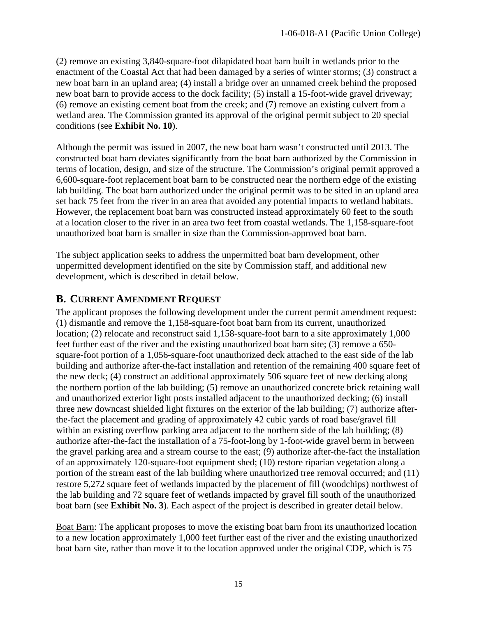(2) remove an existing 3,840-square-foot dilapidated boat barn built in wetlands prior to the enactment of the Coastal Act that had been damaged by a series of winter storms; (3) construct a new boat barn in an upland area; (4) install a bridge over an unnamed creek behind the proposed new boat barn to provide access to the dock facility; (5) install a 15-foot-wide gravel driveway; (6) remove an existing cement boat from the creek; and (7) remove an existing culvert from a wetland area. The Commission granted its approval of the original permit subject to 20 special conditions (see **Exhibit No. 10**).

Although the permit was issued in 2007, the new boat barn wasn't constructed until 2013. The constructed boat barn deviates significantly from the boat barn authorized by the Commission in terms of location, design, and size of the structure. The Commission's original permit approved a 6,600-square-foot replacement boat barn to be constructed near the northern edge of the existing lab building. The boat barn authorized under the original permit was to be sited in an upland area set back 75 feet from the river in an area that avoided any potential impacts to wetland habitats. However, the replacement boat barn was constructed instead approximately 60 feet to the south at a location closer to the river in an area two feet from coastal wetlands. The 1,158-square-foot unauthorized boat barn is smaller in size than the Commission-approved boat barn.

The subject application seeks to address the unpermitted boat barn development, other unpermitted development identified on the site by Commission staff, and additional new development, which is described in detail below.

## <span id="page-14-0"></span>**B. CURRENT AMENDMENT REQUEST**

The applicant proposes the following development under the current permit amendment request: (1) dismantle and remove the 1,158-square-foot boat barn from its current, unauthorized location; (2) relocate and reconstruct said 1,158-square-foot barn to a site approximately 1,000 feet further east of the river and the existing unauthorized boat barn site; (3) remove a 650 square-foot portion of a 1,056-square-foot unauthorized deck attached to the east side of the lab building and authorize after-the-fact installation and retention of the remaining 400 square feet of the new deck; (4) construct an additional approximately 506 square feet of new decking along the northern portion of the lab building; (5) remove an unauthorized concrete brick retaining wall and unauthorized exterior light posts installed adjacent to the unauthorized decking; (6) install three new downcast shielded light fixtures on the exterior of the lab building; (7) authorize afterthe-fact the placement and grading of approximately 42 cubic yards of road base/gravel fill within an existing overflow parking area adjacent to the northern side of the lab building; (8) authorize after-the-fact the installation of a 75-foot-long by 1-foot-wide gravel berm in between the gravel parking area and a stream course to the east; (9) authorize after-the-fact the installation of an approximately 120-square-foot equipment shed; (10) restore riparian vegetation along a portion of the stream east of the lab building where unauthorized tree removal occurred; and (11) restore 5,272 square feet of wetlands impacted by the placement of fill (woodchips) northwest of the lab building and 72 square feet of wetlands impacted by gravel fill south of the unauthorized boat barn (see **Exhibit No. 3**). Each aspect of the project is described in greater detail below.

Boat Barn: The applicant proposes to move the existing boat barn from its unauthorized location to a new location approximately 1,000 feet further east of the river and the existing unauthorized boat barn site, rather than move it to the location approved under the original CDP, which is 75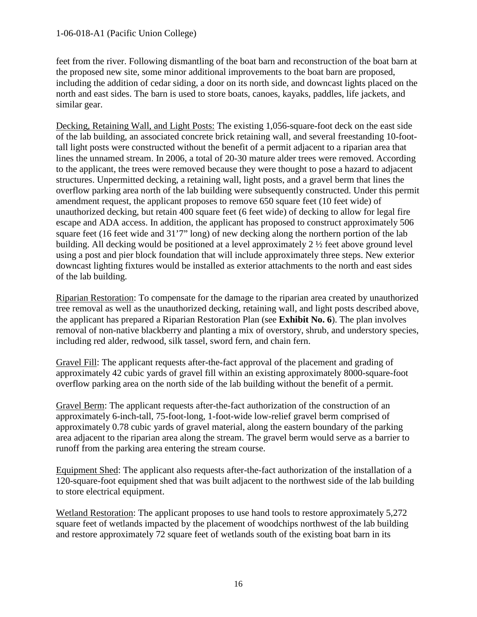feet from the river. Following dismantling of the boat barn and reconstruction of the boat barn at the proposed new site, some minor additional improvements to the boat barn are proposed, including the addition of cedar siding, a door on its north side, and downcast lights placed on the north and east sides. The barn is used to store boats, canoes, kayaks, paddles, life jackets, and similar gear.

Decking, Retaining Wall, and Light Posts: The existing 1,056-square-foot deck on the east side of the lab building, an associated concrete brick retaining wall, and several freestanding 10-foottall light posts were constructed without the benefit of a permit adjacent to a riparian area that lines the unnamed stream. In 2006, a total of 20-30 mature alder trees were removed. According to the applicant, the trees were removed because they were thought to pose a hazard to adjacent structures. Unpermitted decking, a retaining wall, light posts, and a gravel berm that lines the overflow parking area north of the lab building were subsequently constructed. Under this permit amendment request, the applicant proposes to remove 650 square feet (10 feet wide) of unauthorized decking, but retain 400 square feet (6 feet wide) of decking to allow for legal fire escape and ADA access. In addition, the applicant has proposed to construct approximately 506 square feet (16 feet wide and 31'7" long) of new decking along the northern portion of the lab building. All decking would be positioned at a level approximately 2 ½ feet above ground level using a post and pier block foundation that will include approximately three steps. New exterior downcast lighting fixtures would be installed as exterior attachments to the north and east sides of the lab building.

Riparian Restoration: To compensate for the damage to the riparian area created by unauthorized tree removal as well as the unauthorized decking, retaining wall, and light posts described above, the applicant has prepared a Riparian Restoration Plan (see **Exhibit No. 6**). The plan involves removal of non-native blackberry and planting a mix of overstory, shrub, and understory species, including red alder, redwood, silk tassel, sword fern, and chain fern.

Gravel Fill: The applicant requests after-the-fact approval of the placement and grading of approximately 42 cubic yards of gravel fill within an existing approximately 8000-square-foot overflow parking area on the north side of the lab building without the benefit of a permit.

Gravel Berm: The applicant requests after-the-fact authorization of the construction of an approximately 6-inch-tall, 75-foot-long, 1-foot-wide low-relief gravel berm comprised of approximately 0.78 cubic yards of gravel material, along the eastern boundary of the parking area adjacent to the riparian area along the stream. The gravel berm would serve as a barrier to runoff from the parking area entering the stream course.

Equipment Shed: The applicant also requests after-the-fact authorization of the installation of a 120-square-foot equipment shed that was built adjacent to the northwest side of the lab building to store electrical equipment.

Wetland Restoration: The applicant proposes to use hand tools to restore approximately 5,272 square feet of wetlands impacted by the placement of woodchips northwest of the lab building and restore approximately 72 square feet of wetlands south of the existing boat barn in its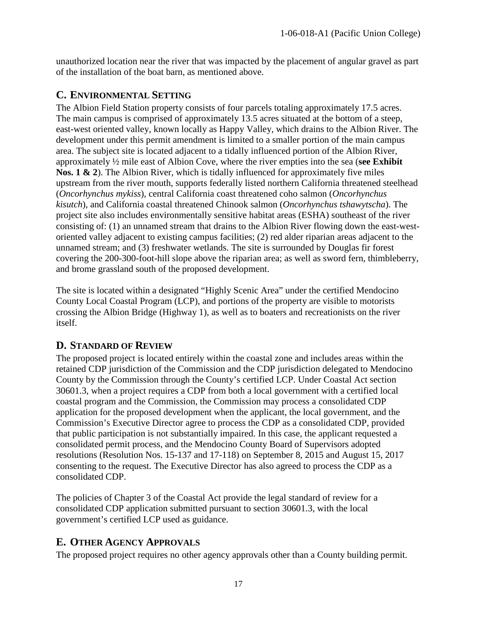unauthorized location near the river that was impacted by the placement of angular gravel as part of the installation of the boat barn, as mentioned above.

## <span id="page-16-0"></span>**C. ENVIRONMENTAL SETTING**

The Albion Field Station property consists of four parcels totaling approximately 17.5 acres. The main campus is comprised of approximately 13.5 acres situated at the bottom of a steep, east-west oriented valley, known locally as Happy Valley, which drains to the Albion River. The development under this permit amendment is limited to a smaller portion of the main campus area. The subject site is located adjacent to a tidally influenced portion of the Albion River, approximately ½ mile east of Albion Cove, where the river empties into the sea (**see Exhibit Nos. 1 & 2**). The Albion River, which is tidally influenced for approximately five miles upstream from the river mouth, supports federally listed northern California threatened steelhead (*Oncorhynchus mykiss*), central California coast threatened coho salmon (*Oncorhynchus kisutch*), and California coastal threatened Chinook salmon (*Oncorhynchus tshawytscha*). The project site also includes environmentally sensitive habitat areas (ESHA) southeast of the river consisting of: (1) an unnamed stream that drains to the Albion River flowing down the east-westoriented valley adjacent to existing campus facilities; (2) red alder riparian areas adjacent to the unnamed stream; and (3) freshwater wetlands. The site is surrounded by Douglas fir forest covering the 200-300-foot-hill slope above the riparian area; as well as sword fern, thimbleberry, and brome grassland south of the proposed development.

The site is located within a designated "Highly Scenic Area" under the certified Mendocino County Local Coastal Program (LCP), and portions of the property are visible to motorists crossing the Albion Bridge (Highway 1), as well as to boaters and recreationists on the river itself.

## <span id="page-16-1"></span>**D. STANDARD OF REVIEW**

The proposed project is located entirely within the coastal zone and includes areas within the retained CDP jurisdiction of the Commission and the CDP jurisdiction delegated to Mendocino County by the Commission through the County's certified LCP. Under Coastal Act section 30601.3, when a project requires a CDP from both a local government with a certified local coastal program and the Commission, the Commission may process a consolidated CDP application for the proposed development when the applicant, the local government, and the Commission's Executive Director agree to process the CDP as a consolidated CDP, provided that public participation is not substantially impaired. In this case, the applicant requested a consolidated permit process, and the Mendocino County Board of Supervisors adopted resolutions (Resolution Nos. 15-137 and 17-118) on September 8, 2015 and August 15, 2017 consenting to the request. The Executive Director has also agreed to process the CDP as a consolidated CDP.

The policies of Chapter 3 of the Coastal Act provide the legal standard of review for a consolidated CDP application submitted pursuant to section 30601.3, with the local government's certified LCP used as guidance.

## <span id="page-16-2"></span>**E. OTHER AGENCY APPROVALS**

The proposed project requires no other agency approvals other than a County building permit.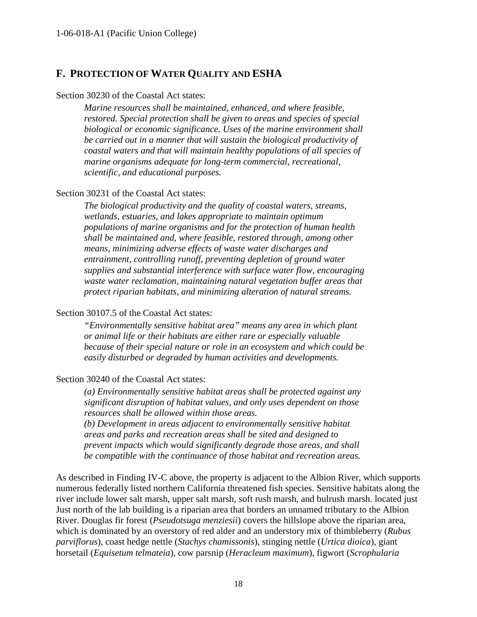### <span id="page-17-0"></span>**F. PROTECTION OF WATER QUALITY AND ESHA**

#### Section 30230 of the Coastal Act states:

*Marine resources shall be maintained, enhanced, and where feasible, restored. Special protection shall be given to areas and species of special biological or economic significance. Uses of the marine environment shall be carried out in a manner that will sustain the biological productivity of coastal waters and that will maintain healthy populations of all species of marine organisms adequate for long-term commercial, recreational, scientific, and educational purposes.*

#### Section 30231 of the Coastal Act states:

*The biological productivity and the quality of coastal waters, streams, wetlands, estuaries, and lakes appropriate to maintain optimum populations of marine organisms and for the protection of human health shall be maintained and, where feasible, restored through, among other means, minimizing adverse effects of waste water discharges and entrainment, controlling runoff, preventing depletion of ground water supplies and substantial interference with surface water flow, encouraging waste water reclamation, maintaining natural vegetation buffer areas that protect riparian habitats, and minimizing alteration of natural streams.*

#### Section 30107.5 of the Coastal Act states:

*"Environmentally sensitive habitat area" means any area in which plant or animal life or their habitats are either rare or especially valuable because of their special nature or role in an ecosystem and which could be easily disturbed or degraded by human activities and developments.* 

#### Section 30240 of the Coastal Act states:

*(a) Environmentally sensitive habitat areas shall be protected against any significant disruption of habitat values, and only uses dependent on those resources shall be allowed within those areas.*

*(b) Development in areas adjacent to environmentally sensitive habitat areas and parks and recreation areas shall be sited and designed to prevent impacts which would significantly degrade those areas, and shall be compatible with the continuance of those habitat and recreation areas.*

As described in Finding IV-C above, the property is adjacent to the Albion River, which supports numerous federally listed northern California threatened fish species. Sensitive habitats along the river include lower salt marsh, upper salt marsh, soft rush marsh, and bulrush marsh. located just Just north of the lab building is a riparian area that borders an unnamed tributary to the Albion River. Douglas fir forest (*Pseudotsuga menziesii*) covers the hillslope above the riparian area, which is dominated by an overstory of red alder and an understory mix of thimbleberry (*Rubus parviflorus*), coast hedge nettle (*Stachys chamissonis*), stinging nettle (*Urtica dioica*), giant horsetail (*Equisetum telmateia*), cow parsnip (*Heracleum maximum*), figwort (*Scrophularia*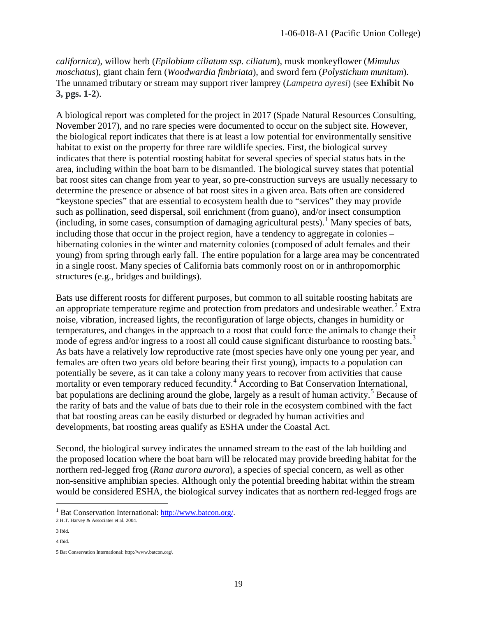*californica*), willow herb (*Epilobium ciliatum ssp. ciliatum*), musk monkeyflower (*Mimulus moschatus*), giant chain fern (*Woodwardia fimbriata*), and sword fern (*Polystichum munitum*). The unnamed tributary or stream may support river lamprey (*Lampetra ayresi*) (see **Exhibit No 3, pgs. 1-2**).

A biological report was completed for the project in 2017 (Spade Natural Resources Consulting, November 2017), and no rare species were documented to occur on the subject site. However, the biological report indicates that there is at least a low potential for environmentally sensitive habitat to exist on the property for three rare wildlife species. First, the biological survey indicates that there is potential roosting habitat for several species of special status bats in the area, including within the boat barn to be dismantled. The biological survey states that potential bat roost sites can change from year to year, so pre-construction surveys are usually necessary to determine the presence or absence of bat roost sites in a given area. Bats often are considered "keystone species" that are essential to ecosystem health due to "services" they may provide such as pollination, seed dispersal, soil enrichment (from guano), and/or insect consumption (including, in some cases, consumption of damaging agricultural pests).<sup>[1](#page-18-0)</sup> Many species of bats, including those that occur in the project region, have a tendency to aggregate in colonies – hibernating colonies in the winter and maternity colonies (composed of adult females and their young) from spring through early fall. The entire population for a large area may be concentrated in a single roost. Many species of California bats commonly roost on or in anthropomorphic structures (e.g., bridges and buildings).

Bats use different roosts for different purposes, but common to all suitable roosting habitats are an appropriate temperature regime and protection from predators and undesirable weather.<sup>[2](#page-18-1)</sup> Extra noise, vibration, increased lights, the reconfiguration of large objects, changes in humidity or temperatures, and changes in the approach to a roost that could force the animals to change their mode of egress and/or ingress to a roost all could cause significant disturbance to roosting bats.<sup>[3](#page-18-2)</sup> As bats have a relatively low reproductive rate (most species have only one young per year, and females are often two years old before bearing their first young), impacts to a population can potentially be severe, as it can take a colony many years to recover from activities that cause mortality or even temporary reduced fecundity.<sup>[4](#page-18-3)</sup> According to Bat Conservation International, bat populations are declining around the globe, largely as a result of human activity.<sup>[5](#page-18-4)</sup> Because of the rarity of bats and the value of bats due to their role in the ecosystem combined with the fact that bat roosting areas can be easily disturbed or degraded by human activities and developments, bat roosting areas qualify as ESHA under the Coastal Act.

Second, the biological survey indicates the unnamed stream to the east of the lab building and the proposed location where the boat barn will be relocated may provide breeding habitat for the northern red-legged frog (*Rana aurora aurora*), a species of special concern, as well as other non-sensitive amphibian species. Although only the potential breeding habitat within the stream would be considered ESHA, the biological survey indicates that as northern red-legged frogs are

 $\overline{a}$ 

<span id="page-18-0"></span><sup>&</sup>lt;sup>1</sup> Bat Conservation International:  $\frac{http://www.batcon.org/}{http://www.batcon.org/}$ <br>2 H.T. Harvey & Associates et al. 2004.

<span id="page-18-2"></span><span id="page-18-1"></span><sup>3</sup> Ibid.

<span id="page-18-3"></span><sup>4</sup> Ibid.

<span id="page-18-4"></span><sup>5</sup> Bat Conservation International[: http://www.batcon.org/.](http://www.batcon.org/)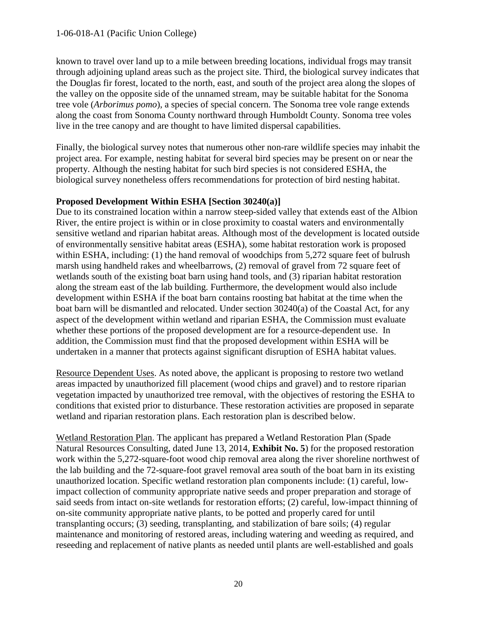known to travel over land up to a mile between breeding locations, individual frogs may transit through adjoining upland areas such as the project site. Third, the biological survey indicates that the Douglas fir forest, located to the north, east, and south of the project area along the slopes of the valley on the opposite side of the unnamed stream, may be suitable habitat for the Sonoma tree vole (*Arborimus pomo*), a species of special concern. The Sonoma tree vole range extends along the coast from Sonoma County northward through Humboldt County. Sonoma tree voles live in the tree canopy and are thought to have limited dispersal capabilities.

Finally, the biological survey notes that numerous other non-rare wildlife species may inhabit the project area. For example, nesting habitat for several bird species may be present on or near the property. Although the nesting habitat for such bird species is not considered ESHA, the biological survey nonetheless offers recommendations for protection of bird nesting habitat.

#### **Proposed Development Within ESHA [Section 30240(a)]**

Due to its constrained location within a narrow steep-sided valley that extends east of the Albion River, the entire project is within or in close proximity to coastal waters and environmentally sensitive wetland and riparian habitat areas. Although most of the development is located outside of environmentally sensitive habitat areas (ESHA), some habitat restoration work is proposed within ESHA, including: (1) the hand removal of woodchips from 5,272 square feet of bulrush marsh using handheld rakes and wheelbarrows, (2) removal of gravel from 72 square feet of wetlands south of the existing boat barn using hand tools, and (3) riparian habitat restoration along the stream east of the lab building. Furthermore, the development would also include development within ESHA if the boat barn contains roosting bat habitat at the time when the boat barn will be dismantled and relocated. Under section 30240(a) of the Coastal Act, for any aspect of the development within wetland and riparian ESHA, the Commission must evaluate whether these portions of the proposed development are for a resource-dependent use. In addition, the Commission must find that the proposed development within ESHA will be undertaken in a manner that protects against significant disruption of ESHA habitat values.

Resource Dependent Uses. As noted above, the applicant is proposing to restore two wetland areas impacted by unauthorized fill placement (wood chips and gravel) and to restore riparian vegetation impacted by unauthorized tree removal, with the objectives of restoring the ESHA to conditions that existed prior to disturbance. These restoration activities are proposed in separate wetland and riparian restoration plans. Each restoration plan is described below.

Wetland Restoration Plan. The applicant has prepared a Wetland Restoration Plan (Spade Natural Resources Consulting, dated June 13, 2014, **Exhibit No. 5**) for the proposed restoration work within the 5,272-square-foot wood chip removal area along the river shoreline northwest of the lab building and the 72-square-foot gravel removal area south of the boat barn in its existing unauthorized location. Specific wetland restoration plan components include: (1) careful, lowimpact collection of community appropriate native seeds and proper preparation and storage of said seeds from intact on-site wetlands for restoration efforts; (2) careful, low-impact thinning of on-site community appropriate native plants, to be potted and properly cared for until transplanting occurs; (3) seeding, transplanting, and stabilization of bare soils; (4) regular maintenance and monitoring of restored areas, including watering and weeding as required, and reseeding and replacement of native plants as needed until plants are well-established and goals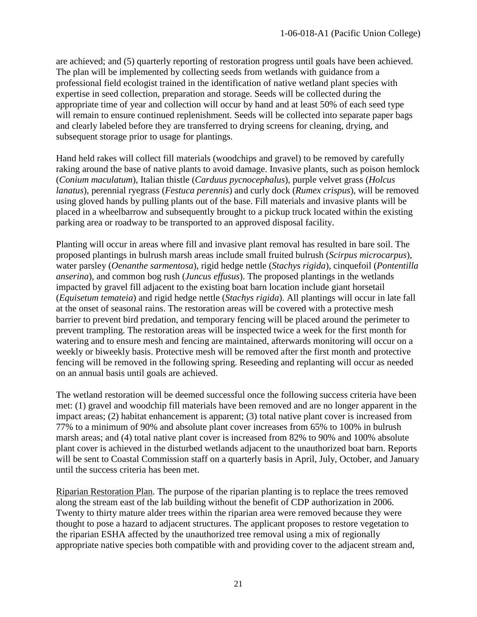are achieved; and (5) quarterly reporting of restoration progress until goals have been achieved. The plan will be implemented by collecting seeds from wetlands with guidance from a professional field ecologist trained in the identification of native wetland plant species with expertise in seed collection, preparation and storage. Seeds will be collected during the appropriate time of year and collection will occur by hand and at least 50% of each seed type will remain to ensure continued replenishment. Seeds will be collected into separate paper bags and clearly labeled before they are transferred to drying screens for cleaning, drying, and subsequent storage prior to usage for plantings.

Hand held rakes will collect fill materials (woodchips and gravel) to be removed by carefully raking around the base of native plants to avoid damage. Invasive plants, such as poison hemlock (*Conium maculatum*), Italian thistle (*Carduus pycnocephalus*), purple velvet grass (*Holcus lanatus*), perennial ryegrass (*Festuca perennis*) and curly dock (*Rumex crispus*), will be removed using gloved hands by pulling plants out of the base. Fill materials and invasive plants will be placed in a wheelbarrow and subsequently brought to a pickup truck located within the existing parking area or roadway to be transported to an approved disposal facility.

Planting will occur in areas where fill and invasive plant removal has resulted in bare soil. The proposed plantings in bulrush marsh areas include small fruited bulrush (*Scirpus microcarpus*), water parsley (*Oenanthe sarmentosa*), rigid hedge nettle (*Stachys rigida*), cinquefoil (*Pontentilla anserina*), and common bog rush (*Juncus effusus*). The proposed plantings in the wetlands impacted by gravel fill adjacent to the existing boat barn location include giant horsetail (*Equisetum temateia*) and rigid hedge nettle (*Stachys rigida*). All plantings will occur in late fall at the onset of seasonal rains. The restoration areas will be covered with a protective mesh barrier to prevent bird predation, and temporary fencing will be placed around the perimeter to prevent trampling. The restoration areas will be inspected twice a week for the first month for watering and to ensure mesh and fencing are maintained, afterwards monitoring will occur on a weekly or biweekly basis. Protective mesh will be removed after the first month and protective fencing will be removed in the following spring. Reseeding and replanting will occur as needed on an annual basis until goals are achieved.

The wetland restoration will be deemed successful once the following success criteria have been met: (1) gravel and woodchip fill materials have been removed and are no longer apparent in the impact areas; (2) habitat enhancement is apparent; (3) total native plant cover is increased from 77% to a minimum of 90% and absolute plant cover increases from 65% to 100% in bulrush marsh areas; and (4) total native plant cover is increased from 82% to 90% and 100% absolute plant cover is achieved in the disturbed wetlands adjacent to the unauthorized boat barn. Reports will be sent to Coastal Commission staff on a quarterly basis in April, July, October, and January until the success criteria has been met.

Riparian Restoration Plan. The purpose of the riparian planting is to replace the trees removed along the stream east of the lab building without the benefit of CDP authorization in 2006. Twenty to thirty mature alder trees within the riparian area were removed because they were thought to pose a hazard to adjacent structures. The applicant proposes to restore vegetation to the riparian ESHA affected by the unauthorized tree removal using a mix of regionally appropriate native species both compatible with and providing cover to the adjacent stream and,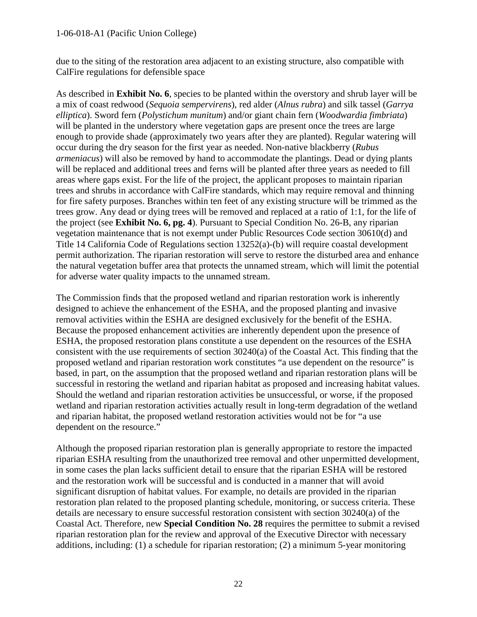#### 1-06-018-A1 (Pacific Union College)

due to the siting of the restoration area adjacent to an existing structure, also compatible with CalFire regulations for defensible space

As described in **Exhibit No. 6**, species to be planted within the overstory and shrub layer will be a mix of coast redwood (*Sequoia sempervirens*), red alder (*Alnus rubra*) and silk tassel (*Garrya elliptica*). Sword fern (*Polystichum munitum*) and/or giant chain fern (*Woodwardia fimbriata*) will be planted in the understory where vegetation gaps are present once the trees are large enough to provide shade (approximately two years after they are planted). Regular watering will occur during the dry season for the first year as needed. Non-native blackberry (*Rubus armeniacus*) will also be removed by hand to accommodate the plantings. Dead or dying plants will be replaced and additional trees and ferns will be planted after three years as needed to fill areas where gaps exist. For the life of the project, the applicant proposes to maintain riparian trees and shrubs in accordance with CalFire standards, which may require removal and thinning for fire safety purposes. Branches within ten feet of any existing structure will be trimmed as the trees grow. Any dead or dying trees will be removed and replaced at a ratio of 1:1, for the life of the project (see **Exhibit No. 6, pg. 4**). Pursuant to Special Condition No. 26-B, any riparian vegetation maintenance that is not exempt under Public Resources Code section 30610(d) and Title 14 California Code of Regulations section 13252(a)-(b) will require coastal development permit authorization. The riparian restoration will serve to restore the disturbed area and enhance the natural vegetation buffer area that protects the unnamed stream, which will limit the potential for adverse water quality impacts to the unnamed stream.

The Commission finds that the proposed wetland and riparian restoration work is inherently designed to achieve the enhancement of the ESHA, and the proposed planting and invasive removal activities within the ESHA are designed exclusively for the benefit of the ESHA. Because the proposed enhancement activities are inherently dependent upon the presence of ESHA, the proposed restoration plans constitute a use dependent on the resources of the ESHA consistent with the use requirements of section 30240(a) of the Coastal Act. This finding that the proposed wetland and riparian restoration work constitutes "a use dependent on the resource" is based, in part, on the assumption that the proposed wetland and riparian restoration plans will be successful in restoring the wetland and riparian habitat as proposed and increasing habitat values. Should the wetland and riparian restoration activities be unsuccessful, or worse, if the proposed wetland and riparian restoration activities actually result in long-term degradation of the wetland and riparian habitat, the proposed wetland restoration activities would not be for "a use dependent on the resource."

Although the proposed riparian restoration plan is generally appropriate to restore the impacted riparian ESHA resulting from the unauthorized tree removal and other unpermitted development, in some cases the plan lacks sufficient detail to ensure that the riparian ESHA will be restored and the restoration work will be successful and is conducted in a manner that will avoid significant disruption of habitat values. For example, no details are provided in the riparian restoration plan related to the proposed planting schedule, monitoring, or success criteria. These details are necessary to ensure successful restoration consistent with section 30240(a) of the Coastal Act. Therefore, new **Special Condition No. 28** requires the permittee to submit a revised riparian restoration plan for the review and approval of the Executive Director with necessary additions, including: (1) a schedule for riparian restoration; (2) a minimum 5-year monitoring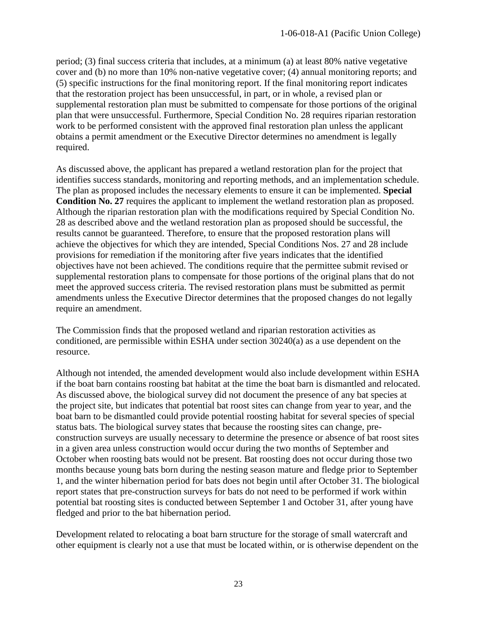period; (3) final success criteria that includes, at a minimum (a) at least 80% native vegetative cover and (b) no more than 10% non-native vegetative cover; (4) annual monitoring reports; and (5) specific instructions for the final monitoring report. If the final monitoring report indicates that the restoration project has been unsuccessful, in part, or in whole, a revised plan or supplemental restoration plan must be submitted to compensate for those portions of the original plan that were unsuccessful. Furthermore, Special Condition No. 28 requires riparian restoration work to be performed consistent with the approved final restoration plan unless the applicant obtains a permit amendment or the Executive Director determines no amendment is legally required.

As discussed above, the applicant has prepared a wetland restoration plan for the project that identifies success standards, monitoring and reporting methods, and an implementation schedule. The plan as proposed includes the necessary elements to ensure it can be implemented. **Special Condition No. 27** requires the applicant to implement the wetland restoration plan as proposed. Although the riparian restoration plan with the modifications required by Special Condition No. 28 as described above and the wetland restoration plan as proposed should be successful, the results cannot be guaranteed. Therefore, to ensure that the proposed restoration plans will achieve the objectives for which they are intended, Special Conditions Nos. 27 and 28 include provisions for remediation if the monitoring after five years indicates that the identified objectives have not been achieved. The conditions require that the permittee submit revised or supplemental restoration plans to compensate for those portions of the original plans that do not meet the approved success criteria. The revised restoration plans must be submitted as permit amendments unless the Executive Director determines that the proposed changes do not legally require an amendment.

The Commission finds that the proposed wetland and riparian restoration activities as conditioned, are permissible within ESHA under section 30240(a) as a use dependent on the resource.

Although not intended, the amended development would also include development within ESHA if the boat barn contains roosting bat habitat at the time the boat barn is dismantled and relocated. As discussed above, the biological survey did not document the presence of any bat species at the project site, but indicates that potential bat roost sites can change from year to year, and the boat barn to be dismantled could provide potential roosting habitat for several species of special status bats. The biological survey states that because the roosting sites can change, preconstruction surveys are usually necessary to determine the presence or absence of bat roost sites in a given area unless construction would occur during the two months of September and October when roosting bats would not be present. Bat roosting does not occur during those two months because young bats born during the nesting season mature and fledge prior to September 1, and the winter hibernation period for bats does not begin until after October 31. The biological report states that pre-construction surveys for bats do not need to be performed if work within potential bat roosting sites is conducted between September 1 and October 31, after young have fledged and prior to the bat hibernation period.

Development related to relocating a boat barn structure for the storage of small watercraft and other equipment is clearly not a use that must be located within, or is otherwise dependent on the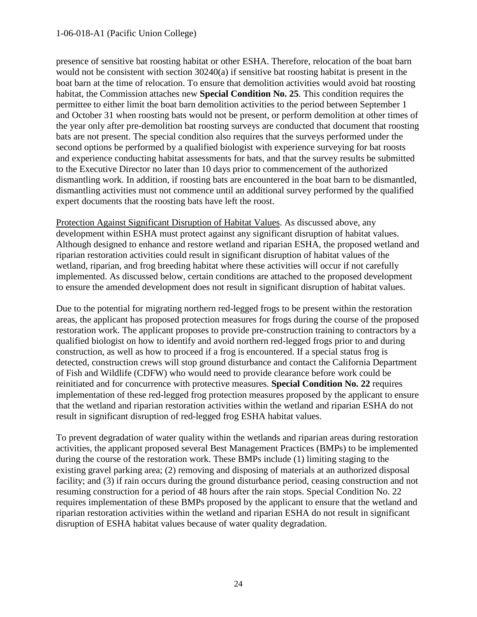#### 1-06-018-A1 (Pacific Union College)

presence of sensitive bat roosting habitat or other ESHA. Therefore, relocation of the boat barn would not be consistent with section 30240(a) if sensitive bat roosting habitat is present in the boat barn at the time of relocation. To ensure that demolition activities would avoid bat roosting habitat, the Commission attaches new **Special Condition No. 25**. This condition requires the permittee to either limit the boat barn demolition activities to the period between September 1 and October 31 when roosting bats would not be present, or perform demolition at other times of the year only after pre-demolition bat roosting surveys are conducted that document that roosting bats are not present. The special condition also requires that the surveys performed under the second options be performed by a qualified biologist with experience surveying for bat roosts and experience conducting habitat assessments for bats, and that the survey results be submitted to the Executive Director no later than 10 days prior to commencement of the authorized dismantling work. In addition, if roosting bats are encountered in the boat barn to be dismantled, dismantling activities must not commence until an additional survey performed by the qualified expert documents that the roosting bats have left the roost.

Protection Against Significant Disruption of Habitat Values. As discussed above, any development within ESHA must protect against any significant disruption of habitat values. Although designed to enhance and restore wetland and riparian ESHA, the proposed wetland and riparian restoration activities could result in significant disruption of habitat values of the wetland, riparian, and frog breeding habitat where these activities will occur if not carefully implemented. As discussed below, certain conditions are attached to the proposed development to ensure the amended development does not result in significant disruption of habitat values.

Due to the potential for migrating northern red-legged frogs to be present within the restoration areas, the applicant has proposed protection measures for frogs during the course of the proposed restoration work. The applicant proposes to provide pre-construction training to contractors by a qualified biologist on how to identify and avoid northern red-legged frogs prior to and during construction, as well as how to proceed if a frog is encountered. If a special status frog is detected, construction crews will stop ground disturbance and contact the California Department of Fish and Wildlife (CDFW) who would need to provide clearance before work could be reinitiated and for concurrence with protective measures. **Special Condition No. 22** requires implementation of these red-legged frog protection measures proposed by the applicant to ensure that the wetland and riparian restoration activities within the wetland and riparian ESHA do not result in significant disruption of red-legged frog ESHA habitat values.

To prevent degradation of water quality within the wetlands and riparian areas during restoration activities, the applicant proposed several Best Management Practices (BMPs) to be implemented during the course of the restoration work. These BMPs include (1) limiting staging to the existing gravel parking area; (2) removing and disposing of materials at an authorized disposal facility; and (3) if rain occurs during the ground disturbance period, ceasing construction and not resuming construction for a period of 48 hours after the rain stops. Special Condition No. 22 requires implementation of these BMPs proposed by the applicant to ensure that the wetland and riparian restoration activities within the wetland and riparian ESHA do not result in significant disruption of ESHA habitat values because of water quality degradation.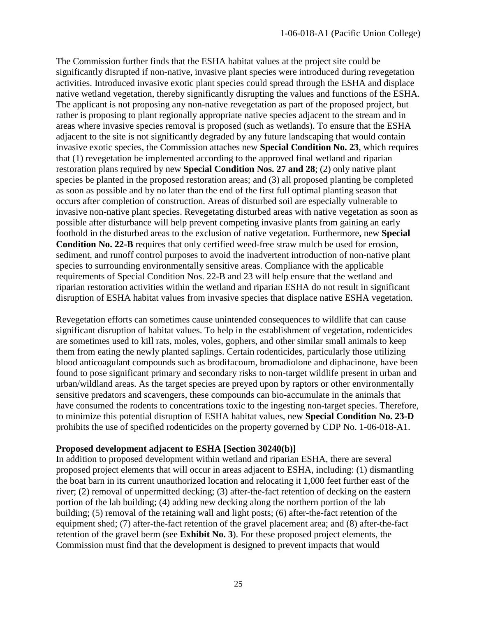The Commission further finds that the ESHA habitat values at the project site could be significantly disrupted if non-native, invasive plant species were introduced during revegetation activities. Introduced invasive exotic plant species could spread through the ESHA and displace native wetland vegetation, thereby significantly disrupting the values and functions of the ESHA. The applicant is not proposing any non-native revegetation as part of the proposed project, but rather is proposing to plant regionally appropriate native species adjacent to the stream and in areas where invasive species removal is proposed (such as wetlands). To ensure that the ESHA adjacent to the site is not significantly degraded by any future landscaping that would contain invasive exotic species, the Commission attaches new **Special Condition No. 23**, which requires that (1) revegetation be implemented according to the approved final wetland and riparian restoration plans required by new **Special Condition Nos. 27 and 28**; (2) only native plant species be planted in the proposed restoration areas; and (3) all proposed planting be completed as soon as possible and by no later than the end of the first full optimal planting season that occurs after completion of construction. Areas of disturbed soil are especially vulnerable to invasive non-native plant species. Revegetating disturbed areas with native vegetation as soon as possible after disturbance will help prevent competing invasive plants from gaining an early foothold in the disturbed areas to the exclusion of native vegetation. Furthermore, new **Special Condition No. 22-B** requires that only certified weed-free straw mulch be used for erosion, sediment, and runoff control purposes to avoid the inadvertent introduction of non-native plant species to surrounding environmentally sensitive areas. Compliance with the applicable requirements of Special Condition Nos. 22-B and 23 will help ensure that the wetland and riparian restoration activities within the wetland and riparian ESHA do not result in significant disruption of ESHA habitat values from invasive species that displace native ESHA vegetation.

Revegetation efforts can sometimes cause unintended consequences to wildlife that can cause significant disruption of habitat values. To help in the establishment of vegetation, rodenticides are sometimes used to kill rats, moles, voles, gophers, and other similar small animals to keep them from eating the newly planted saplings. Certain rodenticides, particularly those utilizing blood anticoagulant compounds such as brodifacoum, bromadiolone and diphacinone, have been found to pose significant primary and secondary risks to non-target wildlife present in urban and urban/wildland areas. As the target species are preyed upon by raptors or other environmentally sensitive predators and scavengers, these compounds can bio-accumulate in the animals that have consumed the rodents to concentrations toxic to the ingesting non-target species. Therefore, to minimize this potential disruption of ESHA habitat values, new **Special Condition No. 23-D** prohibits the use of specified rodenticides on the property governed by CDP No. 1-06-018-A1.

#### **Proposed development adjacent to ESHA [Section 30240(b)]**

In addition to proposed development within wetland and riparian ESHA, there are several proposed project elements that will occur in areas adjacent to ESHA, including: (1) dismantling the boat barn in its current unauthorized location and relocating it 1,000 feet further east of the river; (2) removal of unpermitted decking; (3) after-the-fact retention of decking on the eastern portion of the lab building; (4) adding new decking along the northern portion of the lab building; (5) removal of the retaining wall and light posts; (6) after-the-fact retention of the equipment shed; (7) after-the-fact retention of the gravel placement area; and (8) after-the-fact retention of the gravel berm (see **Exhibit No. 3**). For these proposed project elements, the Commission must find that the development is designed to prevent impacts that would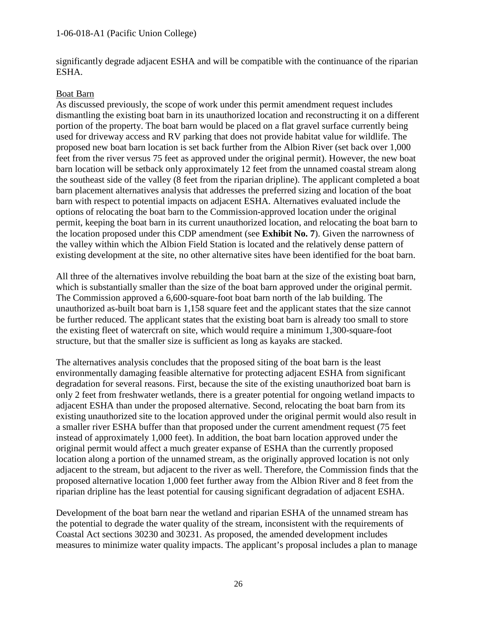significantly degrade adjacent ESHA and will be compatible with the continuance of the riparian ESHA.

#### Boat Barn

As discussed previously, the scope of work under this permit amendment request includes dismantling the existing boat barn in its unauthorized location and reconstructing it on a different portion of the property. The boat barn would be placed on a flat gravel surface currently being used for driveway access and RV parking that does not provide habitat value for wildlife. The proposed new boat barn location is set back further from the Albion River (set back over 1,000 feet from the river versus 75 feet as approved under the original permit). However, the new boat barn location will be setback only approximately 12 feet from the unnamed coastal stream along the southeast side of the valley (8 feet from the riparian dripline). The applicant completed a boat barn placement alternatives analysis that addresses the preferred sizing and location of the boat barn with respect to potential impacts on adjacent ESHA. Alternatives evaluated include the options of relocating the boat barn to the Commission-approved location under the original permit, keeping the boat barn in its current unauthorized location, and relocating the boat barn to the location proposed under this CDP amendment (see **Exhibit No. 7**). Given the narrowness of the valley within which the Albion Field Station is located and the relatively dense pattern of existing development at the site, no other alternative sites have been identified for the boat barn.

All three of the alternatives involve rebuilding the boat barn at the size of the existing boat barn, which is substantially smaller than the size of the boat barn approved under the original permit. The Commission approved a 6,600-square-foot boat barn north of the lab building. The unauthorized as-built boat barn is 1,158 square feet and the applicant states that the size cannot be further reduced. The applicant states that the existing boat barn is already too small to store the existing fleet of watercraft on site, which would require a minimum 1,300-square-foot structure, but that the smaller size is sufficient as long as kayaks are stacked.

The alternatives analysis concludes that the proposed siting of the boat barn is the least environmentally damaging feasible alternative for protecting adjacent ESHA from significant degradation for several reasons. First, because the site of the existing unauthorized boat barn is only 2 feet from freshwater wetlands, there is a greater potential for ongoing wetland impacts to adjacent ESHA than under the proposed alternative. Second, relocating the boat barn from its existing unauthorized site to the location approved under the original permit would also result in a smaller river ESHA buffer than that proposed under the current amendment request (75 feet instead of approximately 1,000 feet). In addition, the boat barn location approved under the original permit would affect a much greater expanse of ESHA than the currently proposed location along a portion of the unnamed stream, as the originally approved location is not only adjacent to the stream, but adjacent to the river as well. Therefore, the Commission finds that the proposed alternative location 1,000 feet further away from the Albion River and 8 feet from the riparian dripline has the least potential for causing significant degradation of adjacent ESHA.

Development of the boat barn near the wetland and riparian ESHA of the unnamed stream has the potential to degrade the water quality of the stream, inconsistent with the requirements of Coastal Act sections 30230 and 30231. As proposed, the amended development includes measures to minimize water quality impacts. The applicant's proposal includes a plan to manage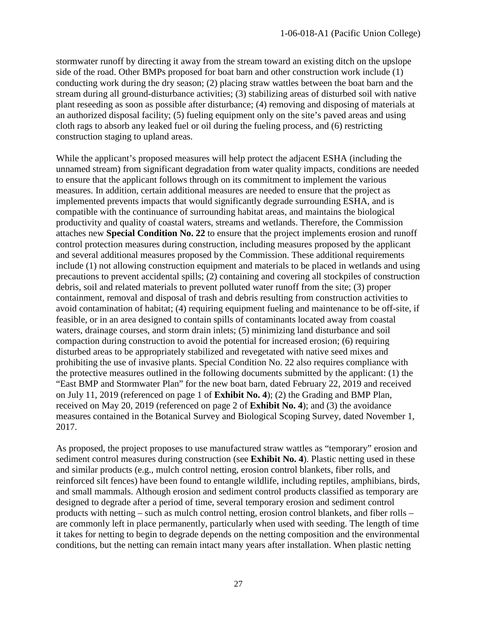stormwater runoff by directing it away from the stream toward an existing ditch on the upslope side of the road. Other BMPs proposed for boat barn and other construction work include (1) conducting work during the dry season; (2) placing straw wattles between the boat barn and the stream during all ground-disturbance activities; (3) stabilizing areas of disturbed soil with native plant reseeding as soon as possible after disturbance; (4) removing and disposing of materials at an authorized disposal facility; (5) fueling equipment only on the site's paved areas and using cloth rags to absorb any leaked fuel or oil during the fueling process, and (6) restricting construction staging to upland areas.

While the applicant's proposed measures will help protect the adjacent ESHA (including the unnamed stream) from significant degradation from water quality impacts, conditions are needed to ensure that the applicant follows through on its commitment to implement the various measures. In addition, certain additional measures are needed to ensure that the project as implemented prevents impacts that would significantly degrade surrounding ESHA, and is compatible with the continuance of surrounding habitat areas, and maintains the biological productivity and quality of coastal waters, streams and wetlands. Therefore, the Commission attaches new **Special Condition No. 22** to ensure that the project implements erosion and runoff control protection measures during construction, including measures proposed by the applicant and several additional measures proposed by the Commission. These additional requirements include (1) not allowing construction equipment and materials to be placed in wetlands and using precautions to prevent accidental spills; (2) containing and covering all stockpiles of construction debris, soil and related materials to prevent polluted water runoff from the site; (3) proper containment, removal and disposal of trash and debris resulting from construction activities to avoid contamination of habitat; (4) requiring equipment fueling and maintenance to be off-site, if feasible, or in an area designed to contain spills of contaminants located away from coastal waters, drainage courses, and storm drain inlets; (5) minimizing land disturbance and soil compaction during construction to avoid the potential for increased erosion; (6) requiring disturbed areas to be appropriately stabilized and revegetated with native seed mixes and prohibiting the use of invasive plants. Special Condition No. 22 also requires compliance with the protective measures outlined in the following documents submitted by the applicant: (1) the "East BMP and Stormwater Plan" for the new boat barn, dated February 22, 2019 and received on July 11, 2019 (referenced on page 1 of **Exhibit No. 4**); (2) the Grading and BMP Plan, received on May 20, 2019 (referenced on page 2 of **Exhibit No. 4**); and (3) the avoidance measures contained in the Botanical Survey and Biological Scoping Survey, dated November 1, 2017.

As proposed, the project proposes to use manufactured straw wattles as "temporary" erosion and sediment control measures during construction (see **Exhibit No. 4**). Plastic netting used in these and similar products (e.g., mulch control netting, erosion control blankets, fiber rolls, and reinforced silt fences) have been found to entangle wildlife, including reptiles, amphibians, birds, and small mammals. Although erosion and sediment control products classified as temporary are designed to degrade after a period of time, several temporary erosion and sediment control products with netting – such as mulch control netting, erosion control blankets, and fiber rolls – are commonly left in place permanently, particularly when used with seeding. The length of time it takes for netting to begin to degrade depends on the netting composition and the environmental conditions, but the netting can remain intact many years after installation. When plastic netting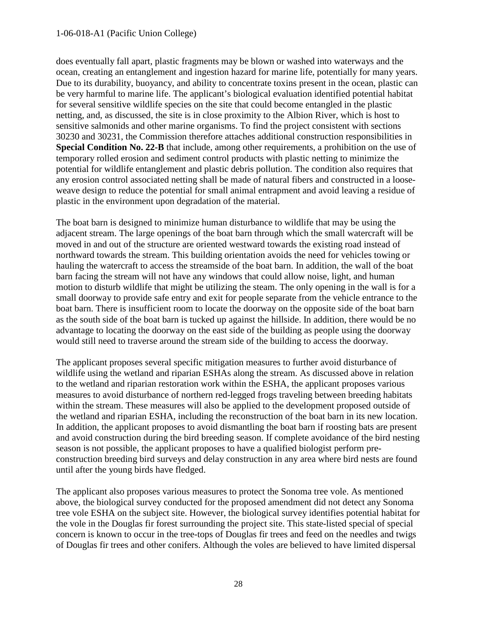#### 1-06-018-A1 (Pacific Union College)

does eventually fall apart, plastic fragments may be blown or washed into waterways and the ocean, creating an entanglement and ingestion hazard for marine life, potentially for many years. Due to its durability, buoyancy, and ability to concentrate toxins present in the ocean, plastic can be very harmful to marine life. The applicant's biological evaluation identified potential habitat for several sensitive wildlife species on the site that could become entangled in the plastic netting, and, as discussed, the site is in close proximity to the Albion River, which is host to sensitive salmonids and other marine organisms. To find the project consistent with sections 30230 and 30231, the Commission therefore attaches additional construction responsibilities in **Special Condition No. 22-B** that include, among other requirements, a prohibition on the use of temporary rolled erosion and sediment control products with plastic netting to minimize the potential for wildlife entanglement and plastic debris pollution. The condition also requires that any erosion control associated netting shall be made of natural fibers and constructed in a looseweave design to reduce the potential for small animal entrapment and avoid leaving a residue of plastic in the environment upon degradation of the material.

The boat barn is designed to minimize human disturbance to wildlife that may be using the adjacent stream. The large openings of the boat barn through which the small watercraft will be moved in and out of the structure are oriented westward towards the existing road instead of northward towards the stream. This building orientation avoids the need for vehicles towing or hauling the watercraft to access the streamside of the boat barn. In addition, the wall of the boat barn facing the stream will not have any windows that could allow noise, light, and human motion to disturb wildlife that might be utilizing the steam. The only opening in the wall is for a small doorway to provide safe entry and exit for people separate from the vehicle entrance to the boat barn. There is insufficient room to locate the doorway on the opposite side of the boat barn as the south side of the boat barn is tucked up against the hillside. In addition, there would be no advantage to locating the doorway on the east side of the building as people using the doorway would still need to traverse around the stream side of the building to access the doorway.

The applicant proposes several specific mitigation measures to further avoid disturbance of wildlife using the wetland and riparian ESHAs along the stream. As discussed above in relation to the wetland and riparian restoration work within the ESHA, the applicant proposes various measures to avoid disturbance of northern red-legged frogs traveling between breeding habitats within the stream. These measures will also be applied to the development proposed outside of the wetland and riparian ESHA, including the reconstruction of the boat barn in its new location. In addition, the applicant proposes to avoid dismantling the boat barn if roosting bats are present and avoid construction during the bird breeding season. If complete avoidance of the bird nesting season is not possible, the applicant proposes to have a qualified biologist perform preconstruction breeding bird surveys and delay construction in any area where bird nests are found until after the young birds have fledged.

The applicant also proposes various measures to protect the Sonoma tree vole. As mentioned above, the biological survey conducted for the proposed amendment did not detect any Sonoma tree vole ESHA on the subject site. However, the biological survey identifies potential habitat for the vole in the Douglas fir forest surrounding the project site. This state-listed special of special concern is known to occur in the tree-tops of Douglas fir trees and feed on the needles and twigs of Douglas fir trees and other conifers. Although the voles are believed to have limited dispersal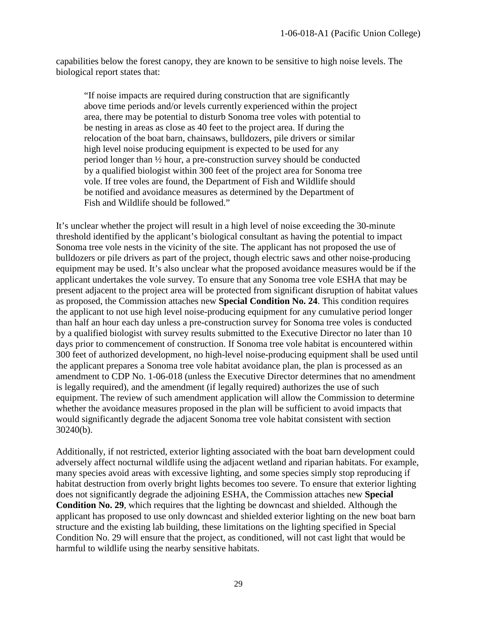capabilities below the forest canopy, they are known to be sensitive to high noise levels. The biological report states that:

"If noise impacts are required during construction that are significantly above time periods and/or levels currently experienced within the project area, there may be potential to disturb Sonoma tree voles with potential to be nesting in areas as close as 40 feet to the project area. If during the relocation of the boat barn, chainsaws, bulldozers, pile drivers or similar high level noise producing equipment is expected to be used for any period longer than ½ hour, a pre-construction survey should be conducted by a qualified biologist within 300 feet of the project area for Sonoma tree vole. If tree voles are found, the Department of Fish and Wildlife should be notified and avoidance measures as determined by the Department of Fish and Wildlife should be followed."

It's unclear whether the project will result in a high level of noise exceeding the 30-minute threshold identified by the applicant's biological consultant as having the potential to impact Sonoma tree vole nests in the vicinity of the site. The applicant has not proposed the use of bulldozers or pile drivers as part of the project, though electric saws and other noise-producing equipment may be used. It's also unclear what the proposed avoidance measures would be if the applicant undertakes the vole survey. To ensure that any Sonoma tree vole ESHA that may be present adjacent to the project area will be protected from significant disruption of habitat values as proposed, the Commission attaches new **Special Condition No. 24**. This condition requires the applicant to not use high level noise-producing equipment for any cumulative period longer than half an hour each day unless a pre-construction survey for Sonoma tree voles is conducted by a qualified biologist with survey results submitted to the Executive Director no later than 10 days prior to commencement of construction. If Sonoma tree vole habitat is encountered within 300 feet of authorized development, no high-level noise-producing equipment shall be used until the applicant prepares a Sonoma tree vole habitat avoidance plan, the plan is processed as an amendment to CDP No. 1-06-018 (unless the Executive Director determines that no amendment is legally required), and the amendment (if legally required) authorizes the use of such equipment. The review of such amendment application will allow the Commission to determine whether the avoidance measures proposed in the plan will be sufficient to avoid impacts that would significantly degrade the adjacent Sonoma tree vole habitat consistent with section 30240(b).

Additionally, if not restricted, exterior lighting associated with the boat barn development could adversely affect nocturnal wildlife using the adjacent wetland and riparian habitats. For example, many species avoid areas with excessive lighting, and some species simply stop reproducing if habitat destruction from overly bright lights becomes too severe. To ensure that exterior lighting does not significantly degrade the adjoining ESHA, the Commission attaches new **Special Condition No. 29**, which requires that the lighting be downcast and shielded. Although the applicant has proposed to use only downcast and shielded exterior lighting on the new boat barn structure and the existing lab building, these limitations on the lighting specified in Special Condition No. 29 will ensure that the project, as conditioned, will not cast light that would be harmful to wildlife using the nearby sensitive habitats.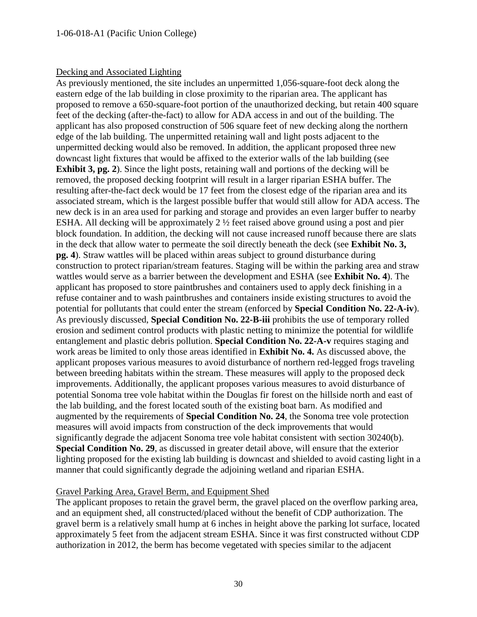#### Decking and Associated Lighting

As previously mentioned, the site includes an unpermitted 1,056-square-foot deck along the eastern edge of the lab building in close proximity to the riparian area. The applicant has proposed to remove a 650-square-foot portion of the unauthorized decking, but retain 400 square feet of the decking (after-the-fact) to allow for ADA access in and out of the building. The applicant has also proposed construction of 506 square feet of new decking along the northern edge of the lab building. The unpermitted retaining wall and light posts adjacent to the unpermitted decking would also be removed. In addition, the applicant proposed three new downcast light fixtures that would be affixed to the exterior walls of the lab building (see **Exhibit 3, pg. 2**). Since the light posts, retaining wall and portions of the decking will be removed, the proposed decking footprint will result in a larger riparian ESHA buffer. The resulting after-the-fact deck would be 17 feet from the closest edge of the riparian area and its associated stream, which is the largest possible buffer that would still allow for ADA access. The new deck is in an area used for parking and storage and provides an even larger buffer to nearby ESHA. All decking will be approximately 2 ½ feet raised above ground using a post and pier block foundation. In addition, the decking will not cause increased runoff because there are slats in the deck that allow water to permeate the soil directly beneath the deck (see **Exhibit No. 3, pg. 4**). Straw wattles will be placed within areas subject to ground disturbance during construction to protect riparian/stream features. Staging will be within the parking area and straw wattles would serve as a barrier between the development and ESHA (see **Exhibit No. 4**). The applicant has proposed to store paintbrushes and containers used to apply deck finishing in a refuse container and to wash paintbrushes and containers inside existing structures to avoid the potential for pollutants that could enter the stream (enforced by **Special Condition No. 22-A-iv**). As previously discussed, **Special Condition No. 22-B-iii** prohibits the use of temporary rolled erosion and sediment control products with plastic netting to minimize the potential for wildlife entanglement and plastic debris pollution. **Special Condition No. 22-A-v** requires staging and work areas be limited to only those areas identified in **Exhibit No. 4.** As discussed above, the applicant proposes various measures to avoid disturbance of northern red-legged frogs traveling between breeding habitats within the stream. These measures will apply to the proposed deck improvements. Additionally, the applicant proposes various measures to avoid disturbance of potential Sonoma tree vole habitat within the Douglas fir forest on the hillside north and east of the lab building, and the forest located south of the existing boat barn. As modified and augmented by the requirements of **Special Condition No. 24**, the Sonoma tree vole protection measures will avoid impacts from construction of the deck improvements that would significantly degrade the adjacent Sonoma tree vole habitat consistent with section 30240(b). **Special Condition No. 29**, as discussed in greater detail above, will ensure that the exterior lighting proposed for the existing lab building is downcast and shielded to avoid casting light in a manner that could significantly degrade the adjoining wetland and riparian ESHA.

#### Gravel Parking Area, Gravel Berm, and Equipment Shed

The applicant proposes to retain the gravel berm, the gravel placed on the overflow parking area, and an equipment shed, all constructed/placed without the benefit of CDP authorization. The gravel berm is a relatively small hump at 6 inches in height above the parking lot surface, located approximately 5 feet from the adjacent stream ESHA. Since it was first constructed without CDP authorization in 2012, the berm has become vegetated with species similar to the adjacent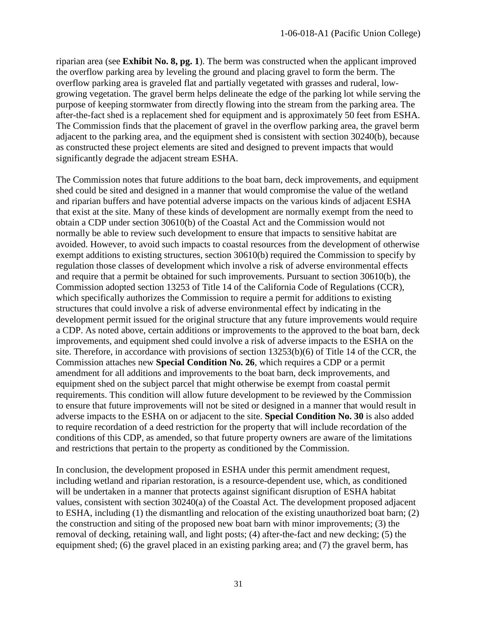riparian area (see **Exhibit No. 8, pg. 1**). The berm was constructed when the applicant improved the overflow parking area by leveling the ground and placing gravel to form the berm. The overflow parking area is graveled flat and partially vegetated with grasses and ruderal, lowgrowing vegetation. The gravel berm helps delineate the edge of the parking lot while serving the purpose of keeping stormwater from directly flowing into the stream from the parking area. The after-the-fact shed is a replacement shed for equipment and is approximately 50 feet from ESHA. The Commission finds that the placement of gravel in the overflow parking area, the gravel berm adjacent to the parking area, and the equipment shed is consistent with section 30240(b), because as constructed these project elements are sited and designed to prevent impacts that would significantly degrade the adjacent stream ESHA.

The Commission notes that future additions to the boat barn, deck improvements, and equipment shed could be sited and designed in a manner that would compromise the value of the wetland and riparian buffers and have potential adverse impacts on the various kinds of adjacent ESHA that exist at the site. Many of these kinds of development are normally exempt from the need to obtain a CDP under section 30610(b) of the Coastal Act and the Commission would not normally be able to review such development to ensure that impacts to sensitive habitat are avoided. However, to avoid such impacts to coastal resources from the development of otherwise exempt additions to existing structures, section 30610(b) required the Commission to specify by regulation those classes of development which involve a risk of adverse environmental effects and require that a permit be obtained for such improvements. Pursuant to section 30610(b), the Commission adopted section 13253 of Title 14 of the California Code of Regulations (CCR), which specifically authorizes the Commission to require a permit for additions to existing structures that could involve a risk of adverse environmental effect by indicating in the development permit issued for the original structure that any future improvements would require a CDP. As noted above, certain additions or improvements to the approved to the boat barn, deck improvements, and equipment shed could involve a risk of adverse impacts to the ESHA on the site. Therefore, in accordance with provisions of section 13253(b)(6) of Title 14 of the CCR, the Commission attaches new **Special Condition No. 26**, which requires a CDP or a permit amendment for all additions and improvements to the boat barn, deck improvements, and equipment shed on the subject parcel that might otherwise be exempt from coastal permit requirements. This condition will allow future development to be reviewed by the Commission to ensure that future improvements will not be sited or designed in a manner that would result in adverse impacts to the ESHA on or adjacent to the site. **Special Condition No. 30** is also added to require recordation of a deed restriction for the property that will include recordation of the conditions of this CDP, as amended, so that future property owners are aware of the limitations and restrictions that pertain to the property as conditioned by the Commission.

In conclusion, the development proposed in ESHA under this permit amendment request, including wetland and riparian restoration, is a resource-dependent use, which, as conditioned will be undertaken in a manner that protects against significant disruption of ESHA habitat values, consistent with section 30240(a) of the Coastal Act. The development proposed adjacent to ESHA, including (1) the dismantling and relocation of the existing unauthorized boat barn; (2) the construction and siting of the proposed new boat barn with minor improvements; (3) the removal of decking, retaining wall, and light posts; (4) after-the-fact and new decking; (5) the equipment shed; (6) the gravel placed in an existing parking area; and (7) the gravel berm, has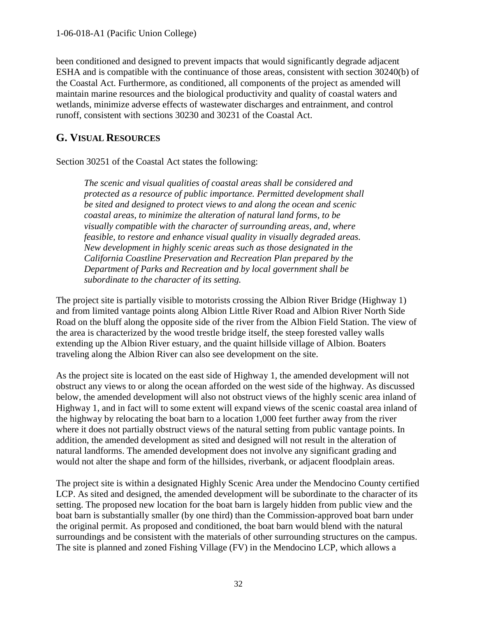been conditioned and designed to prevent impacts that would significantly degrade adjacent ESHA and is compatible with the continuance of those areas, consistent with section 30240(b) of the Coastal Act. Furthermore, as conditioned, all components of the project as amended will maintain marine resources and the biological productivity and quality of coastal waters and wetlands, minimize adverse effects of wastewater discharges and entrainment, and control runoff, consistent with sections 30230 and 30231 of the Coastal Act.

## <span id="page-31-0"></span>**G. VISUAL RESOURCES**

Section 30251 of the Coastal Act states the following:

*The scenic and visual qualities of coastal areas shall be considered and protected as a resource of public importance. Permitted development shall be sited and designed to protect views to and along the ocean and scenic coastal areas, to minimize the alteration of natural land forms, to be visually compatible with the character of surrounding areas, and, where feasible, to restore and enhance visual quality in visually degraded areas. New development in highly scenic areas such as those designated in the California Coastline Preservation and Recreation Plan prepared by the Department of Parks and Recreation and by local government shall be subordinate to the character of its setting.* 

The project site is partially visible to motorists crossing the Albion River Bridge (Highway 1) and from limited vantage points along Albion Little River Road and Albion River North Side Road on the bluff along the opposite side of the river from the Albion Field Station. The view of the area is characterized by the wood trestle bridge itself, the steep forested valley walls extending up the Albion River estuary, and the quaint hillside village of Albion. Boaters traveling along the Albion River can also see development on the site.

As the project site is located on the east side of Highway 1, the amended development will not obstruct any views to or along the ocean afforded on the west side of the highway. As discussed below, the amended development will also not obstruct views of the highly scenic area inland of Highway 1, and in fact will to some extent will expand views of the scenic coastal area inland of the highway by relocating the boat barn to a location 1,000 feet further away from the river where it does not partially obstruct views of the natural setting from public vantage points. In addition, the amended development as sited and designed will not result in the alteration of natural landforms. The amended development does not involve any significant grading and would not alter the shape and form of the hillsides, riverbank, or adjacent floodplain areas.

The project site is within a designated Highly Scenic Area under the Mendocino County certified LCP. As sited and designed, the amended development will be subordinate to the character of its setting. The proposed new location for the boat barn is largely hidden from public view and the boat barn is substantially smaller (by one third) than the Commission-approved boat barn under the original permit. As proposed and conditioned, the boat barn would blend with the natural surroundings and be consistent with the materials of other surrounding structures on the campus. The site is planned and zoned Fishing Village (FV) in the Mendocino LCP, which allows a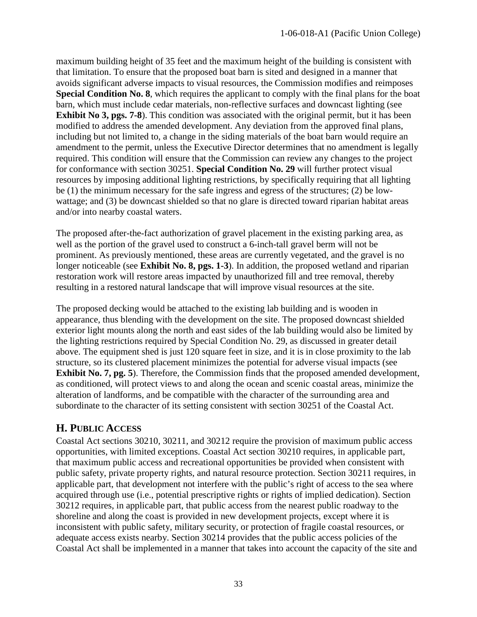maximum building height of 35 feet and the maximum height of the building is consistent with that limitation. To ensure that the proposed boat barn is sited and designed in a manner that avoids significant adverse impacts to visual resources, the Commission modifies and reimposes **Special Condition No. 8**, which requires the applicant to comply with the final plans for the boat barn, which must include cedar materials, non-reflective surfaces and downcast lighting (see **Exhibit No 3, pgs. 7-8**). This condition was associated with the original permit, but it has been modified to address the amended development. Any deviation from the approved final plans, including but not limited to, a change in the siding materials of the boat barn would require an amendment to the permit, unless the Executive Director determines that no amendment is legally required. This condition will ensure that the Commission can review any changes to the project for conformance with section 30251. **Special Condition No. 29** will further protect visual resources by imposing additional lighting restrictions, by specifically requiring that all lighting be (1) the minimum necessary for the safe ingress and egress of the structures; (2) be lowwattage; and (3) be downcast shielded so that no glare is directed toward riparian habitat areas and/or into nearby coastal waters.

The proposed after-the-fact authorization of gravel placement in the existing parking area, as well as the portion of the gravel used to construct a 6-inch-tall gravel berm will not be prominent. As previously mentioned, these areas are currently vegetated, and the gravel is no longer noticeable (see **Exhibit No. 8, pgs. 1-3**). In addition, the proposed wetland and riparian restoration work will restore areas impacted by unauthorized fill and tree removal, thereby resulting in a restored natural landscape that will improve visual resources at the site.

The proposed decking would be attached to the existing lab building and is wooden in appearance, thus blending with the development on the site. The proposed downcast shielded exterior light mounts along the north and east sides of the lab building would also be limited by the lighting restrictions required by Special Condition No. 29, as discussed in greater detail above. The equipment shed is just 120 square feet in size, and it is in close proximity to the lab structure, so its clustered placement minimizes the potential for adverse visual impacts (see **Exhibit No. 7, pg. 5**). Therefore, the Commission finds that the proposed amended development, as conditioned, will protect views to and along the ocean and scenic coastal areas, minimize the alteration of landforms, and be compatible with the character of the surrounding area and subordinate to the character of its setting consistent with section 30251 of the Coastal Act.

## <span id="page-32-0"></span>**H. PUBLIC ACCESS**

Coastal Act sections 30210, 30211, and 30212 require the provision of maximum public access opportunities, with limited exceptions. Coastal Act section 30210 requires, in applicable part, that maximum public access and recreational opportunities be provided when consistent with public safety, private property rights, and natural resource protection. Section 30211 requires, in applicable part, that development not interfere with the public's right of access to the sea where acquired through use (i.e., potential prescriptive rights or rights of implied dedication). Section 30212 requires, in applicable part, that public access from the nearest public roadway to the shoreline and along the coast is provided in new development projects, except where it is inconsistent with public safety, military security, or protection of fragile coastal resources, or adequate access exists nearby. Section 30214 provides that the public access policies of the Coastal Act shall be implemented in a manner that takes into account the capacity of the site and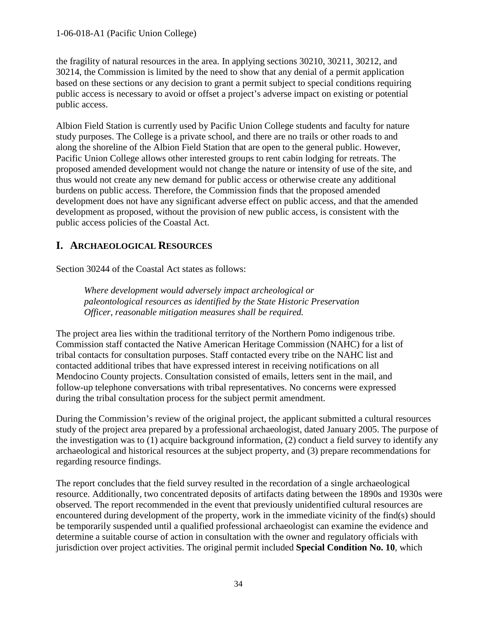the fragility of natural resources in the area. In applying sections 30210, 30211, 30212, and 30214, the Commission is limited by the need to show that any denial of a permit application based on these sections or any decision to grant a permit subject to special conditions requiring public access is necessary to avoid or offset a project's adverse impact on existing or potential public access.

Albion Field Station is currently used by Pacific Union College students and faculty for nature study purposes. The College is a private school, and there are no trails or other roads to and along the shoreline of the Albion Field Station that are open to the general public. However, Pacific Union College allows other interested groups to rent cabin lodging for retreats. The proposed amended development would not change the nature or intensity of use of the site, and thus would not create any new demand for public access or otherwise create any additional burdens on public access. Therefore, the Commission finds that the proposed amended development does not have any significant adverse effect on public access, and that the amended development as proposed, without the provision of new public access, is consistent with the public access policies of the Coastal Act.

## <span id="page-33-0"></span>**I. ARCHAEOLOGICAL RESOURCES**

Section 30244 of the Coastal Act states as follows:

*Where development would adversely impact archeological or paleontological resources as identified by the State Historic Preservation Officer, reasonable mitigation measures shall be required.*

The project area lies within the traditional territory of the Northern Pomo indigenous tribe. Commission staff contacted the Native American Heritage Commission (NAHC) for a list of tribal contacts for consultation purposes. Staff contacted every tribe on the NAHC list and contacted additional tribes that have expressed interest in receiving notifications on all Mendocino County projects. Consultation consisted of emails, letters sent in the mail, and follow-up telephone conversations with tribal representatives. No concerns were expressed during the tribal consultation process for the subject permit amendment.

During the Commission's review of the original project, the applicant submitted a cultural resources study of the project area prepared by a professional archaeologist, dated January 2005. The purpose of the investigation was to (1) acquire background information, (2) conduct a field survey to identify any archaeological and historical resources at the subject property, and (3) prepare recommendations for regarding resource findings.

The report concludes that the field survey resulted in the recordation of a single archaeological resource. Additionally, two concentrated deposits of artifacts dating between the 1890s and 1930s were observed. The report recommended in the event that previously unidentified cultural resources are encountered during development of the property, work in the immediate vicinity of the find(s) should be temporarily suspended until a qualified professional archaeologist can examine the evidence and determine a suitable course of action in consultation with the owner and regulatory officials with jurisdiction over project activities. The original permit included **Special Condition No. 10**, which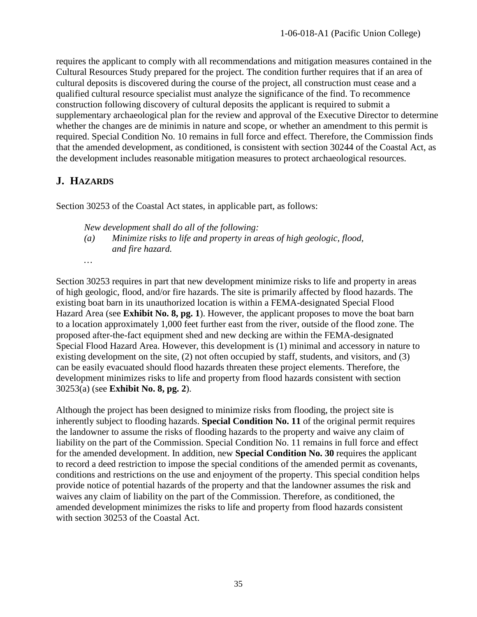requires the applicant to comply with all recommendations and mitigation measures contained in the Cultural Resources Study prepared for the project. The condition further requires that if an area of cultural deposits is discovered during the course of the project, all construction must cease and a qualified cultural resource specialist must analyze the significance of the find. To recommence construction following discovery of cultural deposits the applicant is required to submit a supplementary archaeological plan for the review and approval of the Executive Director to determine whether the changes are de minimis in nature and scope, or whether an amendment to this permit is required. Special Condition No. 10 remains in full force and effect. Therefore, the Commission finds that the amended development, as conditioned, is consistent with section 30244 of the Coastal Act, as the development includes reasonable mitigation measures to protect archaeological resources.

## <span id="page-34-0"></span>**J. HAZARDS**

*…*

Section 30253 of the Coastal Act states, in applicable part, as follows:

*New development shall do all of the following:*

*(a) Minimize risks to life and property in areas of high geologic, flood, and fire hazard.*

Section 30253 requires in part that new development minimize risks to life and property in areas of high geologic, flood, and/or fire hazards. The site is primarily affected by flood hazards. The existing boat barn in its unauthorized location is within a FEMA-designated Special Flood Hazard Area (see **Exhibit No. 8, pg. 1**). However, the applicant proposes to move the boat barn to a location approximately 1,000 feet further east from the river, outside of the flood zone. The proposed after-the-fact equipment shed and new decking are within the FEMA-designated Special Flood Hazard Area. However, this development is (1) minimal and accessory in nature to existing development on the site, (2) not often occupied by staff, students, and visitors, and (3) can be easily evacuated should flood hazards threaten these project elements. Therefore, the development minimizes risks to life and property from flood hazards consistent with section 30253(a) (see **Exhibit No. 8, pg. 2**).

Although the project has been designed to minimize risks from flooding, the project site is inherently subject to flooding hazards. **Special Condition No. 11** of the original permit requires the landowner to assume the risks of flooding hazards to the property and waive any claim of liability on the part of the Commission. Special Condition No. 11 remains in full force and effect for the amended development. In addition, new **Special Condition No. 30** requires the applicant to record a deed restriction to impose the special conditions of the amended permit as covenants, conditions and restrictions on the use and enjoyment of the property. This special condition helps provide notice of potential hazards of the property and that the landowner assumes the risk and waives any claim of liability on the part of the Commission. Therefore, as conditioned, the amended development minimizes the risks to life and property from flood hazards consistent with section 30253 of the Coastal Act.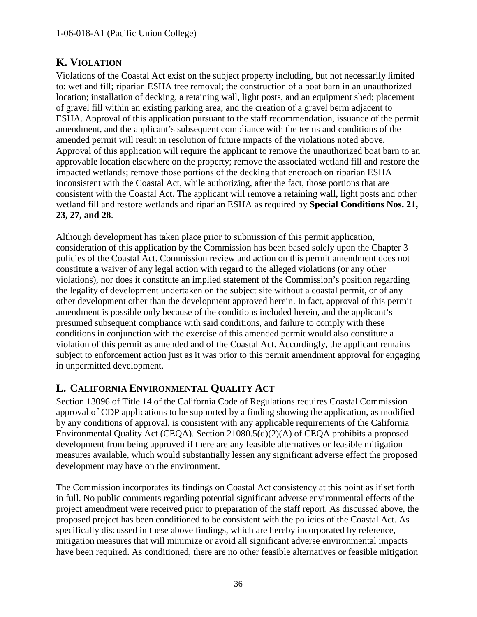## <span id="page-35-0"></span>**K. VIOLATION**

Violations of the Coastal Act exist on the subject property including, but not necessarily limited to: wetland fill; riparian ESHA tree removal; the construction of a boat barn in an unauthorized location; installation of decking, a retaining wall, light posts, and an equipment shed; placement of gravel fill within an existing parking area; and the creation of a gravel berm adjacent to ESHA. Approval of this application pursuant to the staff recommendation, issuance of the permit amendment, and the applicant's subsequent compliance with the terms and conditions of the amended permit will result in resolution of future impacts of the violations noted above. Approval of this application will require the applicant to remove the unauthorized boat barn to an approvable location elsewhere on the property; remove the associated wetland fill and restore the impacted wetlands; remove those portions of the decking that encroach on riparian ESHA inconsistent with the Coastal Act, while authorizing, after the fact, those portions that are consistent with the Coastal Act. The applicant will remove a retaining wall, light posts and other wetland fill and restore wetlands and riparian ESHA as required by **Special Conditions Nos. 21, 23, 27, and 28**.

Although development has taken place prior to submission of this permit application, consideration of this application by the Commission has been based solely upon the Chapter 3 policies of the Coastal Act. Commission review and action on this permit amendment does not constitute a waiver of any legal action with regard to the alleged violations (or any other violations), nor does it constitute an implied statement of the Commission's position regarding the legality of development undertaken on the subject site without a coastal permit, or of any other development other than the development approved herein. In fact, approval of this permit amendment is possible only because of the conditions included herein, and the applicant's presumed subsequent compliance with said conditions, and failure to comply with these conditions in conjunction with the exercise of this amended permit would also constitute a violation of this permit as amended and of the Coastal Act. Accordingly, the applicant remains subject to enforcement action just as it was prior to this permit amendment approval for engaging in unpermitted development.

## <span id="page-35-1"></span>**L. CALIFORNIA ENVIRONMENTAL QUALITY ACT**

Section 13096 of Title 14 of the California Code of Regulations requires Coastal Commission approval of CDP applications to be supported by a finding showing the application, as modified by any conditions of approval, is consistent with any applicable requirements of the California Environmental Quality Act (CEQA). Section 21080.5(d)(2)(A) of CEQA prohibits a proposed development from being approved if there are any feasible alternatives or feasible mitigation measures available, which would substantially lessen any significant adverse effect the proposed development may have on the environment.

The Commission incorporates its findings on Coastal Act consistency at this point as if set forth in full. No public comments regarding potential significant adverse environmental effects of the project amendment were received prior to preparation of the staff report. As discussed above, the proposed project has been conditioned to be consistent with the policies of the Coastal Act. As specifically discussed in these above findings, which are hereby incorporated by reference, mitigation measures that will minimize or avoid all significant adverse environmental impacts have been required. As conditioned, there are no other feasible alternatives or feasible mitigation